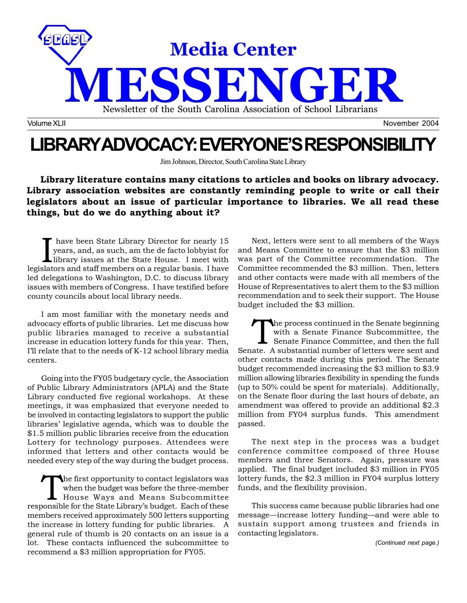

# **LIBRARY ADVOCACY: EVERYONE'S RESPONSIBILITY**

Jim Johnson, Director, South Carolina State Library

**Library literature contains many citations to articles and books on library advocacy. Library association websites are constantly reminding people to write or call their legislators about an issue of particular importance to libraries. We all read these things, but do we do anything about it?**

I have been State Library Director for nearly 15<br>years, and, as such, am the de facto lobbyist for<br>library issues at the State House. I meet with have been State Library Director for nearly 15 years, and, as such, am the de facto lobbyist for legislators and staff members on a regular basis. I have led delegations to Washington, D.C. to discuss library issues with members of Congress. I have testified before county councils about local library needs.

I am most familiar with the monetary needs and advocacy efforts of public libraries. Let me discuss how public libraries managed to receive a substantial increase in education lottery funds for this year. Then, I'll relate that to the needs of K-12 school library media centers.

Going into the FY05 budgetary cycle, the Association of Public Library Administrators (APLA) and the State Library conducted five regional workshops. At these meetings, it was emphasized that everyone needed to be involved in contacting legislators to support the public libraries' legislative agenda, which was to double the \$1.5 million public libraries receive from the education Lottery for technology purposes. Attendees were informed that letters and other contacts would be needed every step of the way during the budget process.

The first opportunity to contact legislators was when the budget was before the three-member House Ways and Means Subcommittee responsible for the State Library's budget. Each of these members received approximately 500 letters supporting the increase in lottery funding for public libraries. A general rule of thumb is 20 contacts on an issue is a lot. These contacts influenced the subcommittee to recommend a \$3 million appropriation for FY05.

Next, letters were sent to all members of the Ways and Means Committee to ensure that the \$3 million was part of the Committee recommendation. The Committee recommended the \$3 million. Then, letters and other contacts were made with all members of the House of Representatives to alert them to the \$3 million recommendation and to seek their support. The House budget included the \$3 million.

The process continued in the Senate beginning with a Senate Finance Subcommittee, the Senate Finance Committee, and then the full Senate. A substantial number of letters were sent and other contacts made during this period. The Senate budget recommended increasing the \$3 million to \$3.9 million allowing libraries flexibility in spending the funds (up to 50% could be spent for materials). Additionally, on the Senate floor during the last hours of debate, an amendment was offered to provide an additional \$2.3 million from FY04 surplus funds. This amendment passed.

The next step in the process was a budget conference committee composed of three House members and three Senators. Again, pressure was applied. The final budget included \$3 million in FY05 lottery funds, the \$2.3 million in FY04 surplus lottery funds, and the flexibility provision.

This success came because public libraries had one message—increase lottery funding—and were able to sustain support among trustees and friends in contacting legislators.

*(Continued next page.)*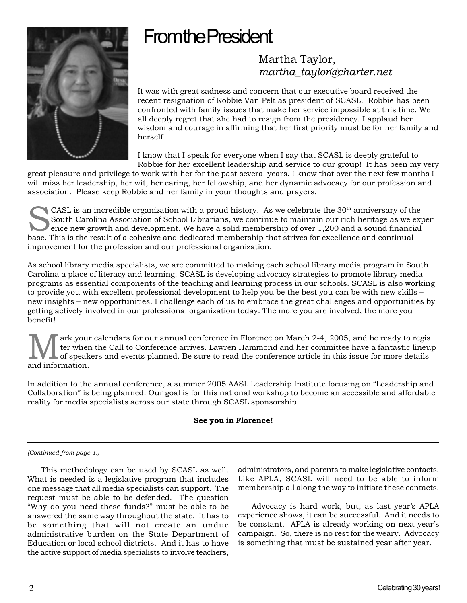# **From the President**



## Martha Taylor, *martha\_taylor@charter.net*

It was with great sadness and concern that our executive board received the recent resignation of Robbie Van Pelt as president of SCASL. Robbie has been confronted with family issues that make her service impossible at this time. We all deeply regret that she had to resign from the presidency. I applaud her wisdom and courage in affirming that her first priority must be for her family and herself.

I know that I speak for everyone when I say that SCASL is deeply grateful to Robbie for her excellent leadership and service to our group! It has been my very

great pleasure and privilege to work with her for the past several years. I know that over the next few months I will miss her leadership, her wit, her caring, her fellowship, and her dynamic advocacy for our profession and association. Please keep Robbie and her family in your thoughts and prayers.

CASL is an incredible organization with a proud history. As we celebrate the 30<sup>th</sup> anniversary of the<br>South Carolina Association of School Librarians, we continue to maintain our rich heritage as we ex<br>ence new growth and South Carolina Association of School Librarians, we continue to maintain our rich heritage as we experi ence new growth and development. We have a solid membership of over 1,200 and a sound financial base. This is the result of a cohesive and dedicated membership that strives for excellence and continual improvement for the profession and our professional organization.

As school library media specialists, we are committed to making each school library media program in South Carolina a place of literacy and learning. SCASL is developing advocacy strategies to promote library media programs as essential components of the teaching and learning process in our schools. SCASL is also working to provide you with excellent professional development to help you be the best you can be with new skills – new insights – new opportunities. I challenge each of us to embrace the great challenges and opportunities by getting actively involved in our professional organization today. The more you are involved, the more you benefit!

ark your calendars for our annual conference in Florence on March 2-4, 2005, and be ready to regis ter when the Call to Conference arrives. Lawren Hammond and her committee have a fantastic lineup of speakers and events planned. Be sure to read the conference article in this issue for more details and information.

In addition to the annual conference, a summer 2005 AASL Leadership Institute focusing on "Leadership and Collaboration" is being planned. Our goal is for this national workshop to become an accessible and affordable reality for media specialists across our state through SCASL sponsorship.

### **See you in Florence!**

### *(Continued from page 1.)*

This methodology can be used by SCASL as well. What is needed is a legislative program that includes one message that all media specialists can support. The request must be able to be defended. The question "Why do you need these funds?" must be able to be answered the same way throughout the state. It has to be something that will not create an undue administrative burden on the State Department of Education or local school districts. And it has to have the active support of media specialists to involve teachers,

administrators, and parents to make legislative contacts. Like APLA, SCASL will need to be able to inform membership all along the way to initiate these contacts.

Advocacy is hard work, but, as last year's APLA experience shows, it can be successful. And it needs to be constant. APLA is already working on next year's campaign. So, there is no rest for the weary. Advocacy is something that must be sustained year after year.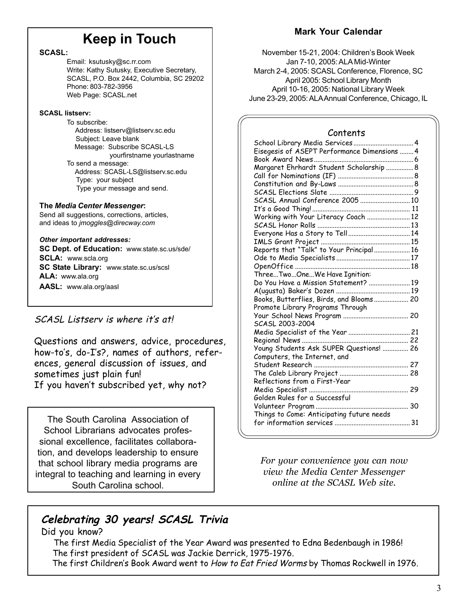# **Keep in Touch**

### **SCASL:**

Email: ksutusky@sc.rr.com Write: Kathy Sutusky, Executive Secretary, SCASL, P.O. Box 2442, Columbia, SC 29202 Phone: 803-782-3956 Web Page: SCASL.net

### **SCASL listserv:**

To subscribe: Address: listserv@listserv.sc.edu Subject: Leave blank Message: Subscribe SCASL-LS yourfirstname yourlastname To send a message: Address: SCASL-LS@listserv.sc.edu Type: your subject Type your message and send.

### **The** *Media Center Messenger***:**

Send all suggestions, corrections, articles, and ideas to *jmoggles@direcway.com*

### *Other important addresses:*

**SC Dept. of Education:** www.state.sc.us/sde/ **SCLA:** www.scla.org **SC State Library:** www.state.sc.us/scsl **ALA:** www.ala.org **AASL:** www.ala.org/aasl

### SCASL Listserv is where it's at!

Questions and answers, advice, procedures, how-to's, do-I's?, names of authors, references, general discussion of issues, and sometimes just plain fun! If you haven't subscribed yet, why not?

The South Carolina Association of School Librarians advocates professional excellence, facilitates collaboration, and develops leadership to ensure that school library media programs are integral to teaching and learning in every South Carolina school.

## **Mark Your Calendar**

November 15-21, 2004: Children's Book Week Jan 7-10, 2005: ALA Mid-Winter March 2-4, 2005: SCASL Conference, Florence, SC April 2005: School Library Month April 10-16, 2005: National Library Week June 23-29, 2005: ALA Annual Conference, Chicago, IL

### Contents

| School Library Media Services  4             |
|----------------------------------------------|
| Eisegesis of ASEPT Performance Dimensions  4 |
|                                              |
| Margaret Ehrhardt Student Scholarship 8      |
|                                              |
|                                              |
|                                              |
|                                              |
|                                              |
|                                              |
|                                              |
|                                              |
|                                              |
| Reports that "Talk" to Your Principal 16     |
|                                              |
|                                              |
|                                              |
| Do You Have a Mission Statement?  19         |
|                                              |
| Books, Butterflies, Birds, and Blooms 20     |
| Promote Library Programs Through             |
|                                              |
| SCASL 2003-2004                              |
|                                              |
|                                              |
| Young Students Ask SUPER Questions!  26      |
| Computers, the Internet, and                 |
|                                              |
|                                              |
| Reflections from a First-Year                |
|                                              |
| Golden Rules for a Successful                |
|                                              |
| Things to Come: Anticipating future needs    |
|                                              |
|                                              |

*For your convenience you can now view the Media Center Messenger online at the SCASL Web site.*

# **Celebrating 30 years! SCASL Trivia**

Did you know?

 The first Media Specialist of the Year Award was presented to Edna Bedenbaugh in 1986! The first president of SCASL was Jackie Derrick, 1975-1976.

The first Children's Book Award went to How to Eat Fried Worms by Thomas Rockwell in 1976.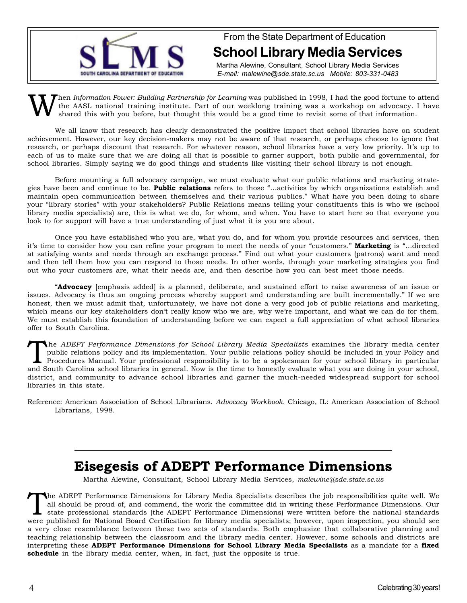

From the State Department of Education **School Library Media Services**

Martha Alewine, Consultant, School Library Media Services *E-mail: malewine@sde.state.sc.us Mobile: 803-331-0483*

When *Information Power: Building Partnership for Learning* was published in 1998, I had the good fortune to attend<br>the AASL national training institute. Part of our weeklong training was a workshop on advocacy. I have<br>sha the AASL national training institute. Part of our weeklong training was a workshop on advocacy. I have shared this with you before, but thought this would be a good time to revisit some of that information.

We all know that research has clearly demonstrated the positive impact that school libraries have on student achievement. However, our key decision-makers may not be aware of that research, or perhaps choose to ignore that research, or perhaps discount that research. For whatever reason, school libraries have a very low priority. It's up to each of us to make sure that we are doing all that is possible to garner support, both public and governmental, for school libraries. Simply saying we do good things and students like visiting their school library is not enough.

Before mounting a full advocacy campaign, we must evaluate what our public relations and marketing strategies have been and continue to be. **Public relations** refers to those "…activities by which organizations establish and maintain open communication between themselves and their various publics." What have you been doing to share your "library stories" with your stakeholders? Public Relations means telling your constituents this is who we (school library media specialists) are, this is what we do, for whom, and when. You have to start here so that everyone you look to for support will have a true understanding of just what it is you are about.

Once you have established who you are, what you do, and for whom you provide resources and services, then it's time to consider how you can refine your program to meet the needs of your "customers." **Marketing** is "…directed at satisfying wants and needs through an exchange process." Find out what your customers (patrons) want and need and then tell them how you can respond to those needs. In other words, through your marketing strategies you find out who your customers are, what their needs are, and then describe how you can best meet those needs.

"**Advocacy** [emphasis added] is a planned, deliberate, and sustained effort to raise awareness of an issue or issues. Advocacy is thus an ongoing process whereby support and understanding are built incrementally." If we are honest, then we must admit that, unfortunately, we have not done a very good job of public relations and marketing, which means our key stakeholders don't really know who we are, why we're important, and what we can do for them. We must establish this foundation of understanding before we can expect a full appreciation of what school libraries offer to South Carolina.

The *ADEPT Performance Dimensions for School Library Media Specialists* examines the library media center<br>public relations policy and its implementation. Your public relations policy should be included in your Policy and<br>P public relations policy and its implementation. Your public relations policy should be included in your Policy and and South Carolina school libraries in general. Now is the time to honestly evaluate what you are doing in your school, district, and community to advance school libraries and garner the much-needed widespread support for school libraries in this state.

Reference: American Association of School Librarians. *Advocacy Workbook.* Chicago, IL: American Association of School Librarians, 1998.

# **Eisegesis of ADEPT Performance Dimensions**

Martha Alewine, Consultant, School Library Media Services, *malewine@sde.state.sc.us*

The ADEPT Performance Dimensions for Library Media Specialists describes the job responsibilities quite well. We all should be proud of, and commend, the work the committee did in writing these Performance Dimensions. Our all should be proud of, and commend, the work the committee did in writing these Performance Dimensions. Our state professional standards (the ADEPT Performance Dimensions) were written before the national standards were published for National Board Certification for library media specialists; however, upon inspection, you should see a very close resemblance between these two sets of standards. Both emphasize that collaborative planning and teaching relationship between the classroom and the library media center. However, some schools and districts are interpreting these **ADEPT Performance Dimensions for School Library Media Specialists** as a mandate for a **fixed schedule** in the library media center, when, in fact, just the opposite is true.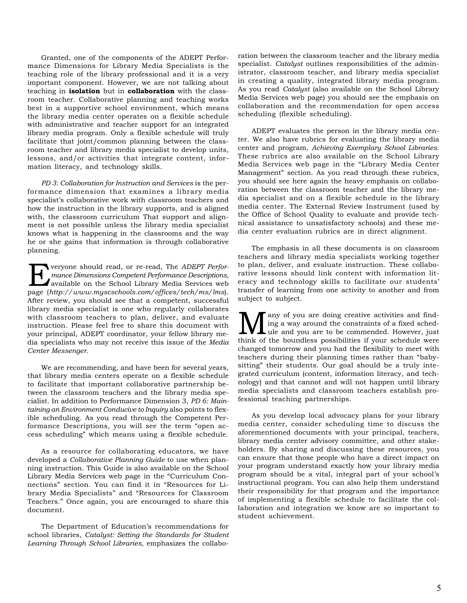Granted, one of the components of the ADEPT Performance Dimensions for Library Media Specialists is the teaching role of the library professional and it is a very important component. However, we are not talking about teaching in **isolation** but in **collaboration** with the classroom teacher. Collaborative planning and teaching works best in a supportive school environment, which means the library media center operates on a flexible schedule with administrative and teacher support for an integrated library media program. Only a flexible schedule will truly facilitate that joint/common planning between the classroom teacher and library media specialist to develop units, lessons, and/or activities that integrate content, information literacy, and technology skills.

*PD 3: Collaboration for Instruction and Services* is the performance dimension that examines a library media specialist's collaborative work with classroom teachers and how the instruction in the library supports, and is aligned with, the classroom curriculum That support and alignment is not possible unless the library media specialist knows what is happening in the classrooms and the way he or she gains that information is through collaborative planning.

**Everyone should read, or re-read, The** *ADEPT Perfor-*<br>
mance Dimensions Competent Performance Descriptions,<br>
available on the School Library Media Services web *mance Dimensions Competent Performance Descriptions,* available on the School Library Media Services web page (*http://www.myscschools.com/offices/tech/ms/lms*). After review, you should see that a competent, successful library media specialist is one who regularly collaborates with classroom teachers to plan, deliver, and evaluate instruction. Please feel free to share this document with your principal, ADEPT coordinator, your fellow library media specialists who may not receive this issue of the *Media Center Messenger.*

We are recommending, and have been for several years, that library media centers operate on a flexible schedule to facilitate that important collaborative partnership between the classroom teachers and the library media specialist. In addition to Performance Dimension 3, *PD 6: Maintaining an Environment Conducive to Inquiry* also points to flexible scheduling. As you read through the Competent Performance Descriptions, you will see the term "open access scheduling" which means using a flexible schedule.

As a resource for collaborating educators, we have developed a *Collaborative Planning Guide* to use when planning instruction. This Guide is also available on the School Library Media Services web page in the "Curriculum Connections" section. You can find it in "Resources for Library Media Specialists" and "Resources for Classroom Teachers." Once again, you are encouraged to share this document.

The Department of Education's recommendations for school libraries, *Catalyst: Setting the Standards for Student Learning Through School Libraries,* emphasizes the collaboration between the classroom teacher and the library media specialist. *Catalyst* outlines responsibilities of the administrator, classroom teacher, and library media specialist in creating a quality, integrated library media program. As you read *Catalyst* (also available on the School Library Media Services web page) you should see the emphasis on collaboration and the recommendation for open access scheduling (flexible scheduling).

ADEPT evaluates the person in the library media center. We also have rubrics for evaluating the library media center and program, *Achieving Exemplary School Libraries*. These rubrics are also available on the School Library Media Services web page in the "Library Media Center Management" section. As you read through these rubrics, you should see here again the heavy emphasis on collaboration between the classroom teacher and the library media specialist and on a flexible schedule in the library media center. The External Review Instrument (used by the Office of School Quality to evaluate and provide technical assistance to unsatisfactory schools) and these media center evaluation rubrics are in direct alignment.

The emphasis in all these documents is on classroom teachers and library media specialists working together to plan, deliver, and evaluate instruction. These collaborative lessons should link content with information literacy and technology skills to facilitate our students' transfer of learning from one activity to another and from subject to subject.

**M** any of you are doing creative activities and find-<br>
ule and you are to be commended. However, just<br>
think of the boundless possibilities if your schedule were ing a way around the constraints of a fixed schedthink of the boundless possibilities if your schedule were changed tomorrow and you had the flexibility to meet with teachers during their planning times rather than "babysitting" their students. Our goal should be a truly integrated curriculum (content, information literacy, and technology) and that cannot and will not happen until library media specialists and classroom teachers establish professional teaching partnerships.

As you develop local advocacy plans for your library media center, consider scheduling time to discuss the aforementioned documents with your principal, teachers, library media center advisory committee, and other stakeholders. By sharing and discussing these resources, you can ensure that those people who have a direct impact on your program understand exactly how your library media program should be a vital, integral part of your school's instructional program. You can also help them understand their responsibility for that program and the importance of implementing a flexible schedule to facilitate the collaboration and integration we know are so important to student achievement.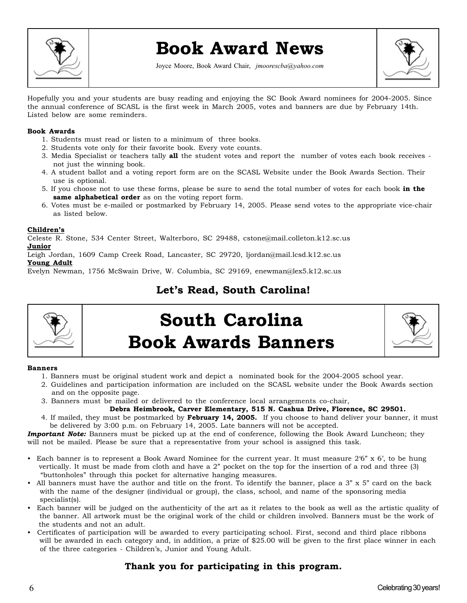

# **Book Award News**

Joyce Moore, Book Award Chair, *jmoorescba@yahoo.com*



Hopefully you and your students are busy reading and enjoying the SC Book Award nominees for 2004-2005. Since the annual conference of SCASL is the first week in March 2005, votes and banners are due by February 14th. Listed below are some reminders.

### **Book Awards**

- 1. Students must read or listen to a minimum of three books.
- 2. Students vote only for their favorite book. Every vote counts.
- 3. Media Specialist or teachers tally **all** the student votes and report the number of votes each book receives not just the winning book.
- 4. A student ballot and a voting report form are on the SCASL Website under the Book Awards Section. Their use is optional.
- 5. If you choose not to use these forms, please be sure to send the total number of votes for each book **in the same alphabetical order** as on the voting report form.
- 6. Votes must be e-mailed or postmarked by February 14, 2005. Please send votes to the appropriate vice-chair as listed below.

### **Children's**

Celeste R. Stone, 534 Center Street, Walterboro, SC 29488, cstone@mail.colleton.k12.sc.us **Junior**

Leigh Jordan, 1609 Camp Creek Road, Lancaster, SC 29720, ljordan@mail.lcsd.k12.sc.us **Young Adult**

Evelyn Newman, 1756 McSwain Drive, W. Columbia, SC 29169, enewman@lex5.k12.sc.us

## **Let's Read, South Carolina!**



# **South Carolina Book Awards Banners**



### **Banners**

- 1. Banners must be original student work and depict a nominated book for the 2004-2005 school year.
- 2. Guidelines and participation information are included on the SCASL website under the Book Awards section and on the opposite page.
- 3. Banners must be mailed or delivered to the conference local arrangements co-chair,
- **Debra Heimbrook, Carver Elementary, 515 N. Cashua Drive, Florence, SC 29501.**
- 4. If mailed, they must be postmarked by **February 14, 2005.** If you choose to hand deliver your banner, it must be delivered by 3:00 p.m. on February 14, 2005. Late banners will not be accepted.

*Important Note:* Banners must be picked up at the end of conference, following the Book Award Luncheon; they will not be mailed. Please be sure that a representative from your school is assigned this task.

- Each banner is to represent a Book Award Nominee for the current year. It must measure 2'6" x 6', to be hung vertically. It must be made from cloth and have a 2" pocket on the top for the insertion of a rod and three (3) "buttonholes" through this pocket for alternative hanging measures.
- All banners must have the author and title on the front. To identify the banner, place a 3" x 5" card on the back with the name of the designer (individual or group), the class, school, and name of the sponsoring media specialist(s).
- Each banner will be judged on the authenticity of the art as it relates to the book as well as the artistic quality of the banner. All artwork must be the original work of the child or children involved. Banners must be the work of the students and not an adult.
- Certificates of participation will be awarded to every participating school. First, second and third place ribbons will be awarded in each category and, in addition, a prize of \$25.00 will be given to the first place winner in each of the three categories - Children's, Junior and Young Adult.

### **Thank you for participating in this program.**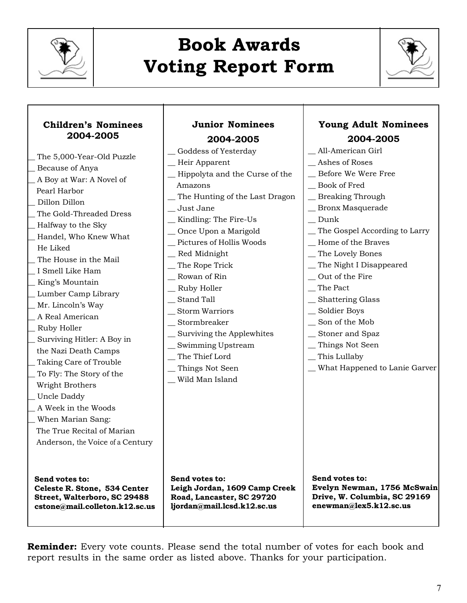

# **Book Awards Voting Report Form**



| <b>Children's Nominees</b><br>2004-2005<br>The 5,000-Year-Old Puzzle<br>Because of Anya<br>A Boy at War: A Novel of<br>Pearl Harbor<br>Dillon Dillon<br>The Gold-Threaded Dress<br>Halfway to the Sky<br>Handel, Who Knew What<br>He Liked<br>The House in the Mail<br>I Smell Like Ham<br>King's Mountain<br>Lumber Camp Library<br>Mr. Lincoln's Way<br>A Real American<br>Ruby Holler<br>Surviving Hitler: A Boy in<br>the Nazi Death Camps<br>Taking Care of Trouble<br>To Fly: The Story of the<br>Wright Brothers<br>Uncle Daddy<br>A Week in the Woods<br>When Marian Sang:<br>The True Recital of Marian<br>Anderson, the Voice of a Century | <b>Junior Nominees</b><br>2004-2005<br>_Goddess of Yesterday<br>_Heir Apparent<br>-Hippolyta and the Curse of the<br>Amazons<br>_The Hunting of the Last Dragon<br>_ Just Jane<br>_Kindling: The Fire-Us<br>_Once Upon a Marigold<br>_ Pictures of Hollis Woods<br>_Red Midnight<br>_The Rope Trick<br>_ Rowan of Rin<br>_ Ruby Holler<br>_ Stand Tall<br>$\_$ Storm Warriors<br>$S$ tormbreaker<br>_ Surviving the Applewhites<br>_ Swimming Upstream<br>_The Thief Lord<br>_Things Not Seen<br>_ Wild Man Island | <b>Young Adult Nominees</b><br>2004-2005<br>_ All-American Girl<br>_Ashes of Roses<br>_ Before We Were Free<br>_Book of Fred<br>_ Breaking Through<br>_Bronx Masquerade<br>Dunk<br>_ The Gospel According to Larry<br>_Home of the Braves<br>_The Lovely Bones<br>_The Night I Disappeared<br>_ Out of the Fire<br>$\overline{\phantom{a}}$ The Pact<br>_ Shattering Glass<br>_ Soldier Boys<br>_ Son of the Mob<br>_ Stoner and Spaz<br>Things Not Seen<br>$\equiv$ This Lullaby<br>_ What Happened to Lanie Garver |
|------------------------------------------------------------------------------------------------------------------------------------------------------------------------------------------------------------------------------------------------------------------------------------------------------------------------------------------------------------------------------------------------------------------------------------------------------------------------------------------------------------------------------------------------------------------------------------------------------------------------------------------------------|--------------------------------------------------------------------------------------------------------------------------------------------------------------------------------------------------------------------------------------------------------------------------------------------------------------------------------------------------------------------------------------------------------------------------------------------------------------------------------------------------------------------|----------------------------------------------------------------------------------------------------------------------------------------------------------------------------------------------------------------------------------------------------------------------------------------------------------------------------------------------------------------------------------------------------------------------------------------------------------------------------------------------------------------------|
| Send votes to:                                                                                                                                                                                                                                                                                                                                                                                                                                                                                                                                                                                                                                       | Send votes to:                                                                                                                                                                                                                                                                                                                                                                                                                                                                                                     | Send votes to:                                                                                                                                                                                                                                                                                                                                                                                                                                                                                                       |
| Celeste R. Stone, 534 Center                                                                                                                                                                                                                                                                                                                                                                                                                                                                                                                                                                                                                         | Leigh Jordan, 1609 Camp Creek                                                                                                                                                                                                                                                                                                                                                                                                                                                                                      | Evelyn Newman, 1756 McSwain                                                                                                                                                                                                                                                                                                                                                                                                                                                                                          |
| Street, Walterboro, SC 29488                                                                                                                                                                                                                                                                                                                                                                                                                                                                                                                                                                                                                         | Road, Lancaster, SC 29720                                                                                                                                                                                                                                                                                                                                                                                                                                                                                          | Drive, W. Columbia, SC 29169                                                                                                                                                                                                                                                                                                                                                                                                                                                                                         |
| cstone@mail.colleton.k12.sc.us                                                                                                                                                                                                                                                                                                                                                                                                                                                                                                                                                                                                                       | ljordan@mail.lcsd.k12.sc.us                                                                                                                                                                                                                                                                                                                                                                                                                                                                                        | enewman@lex5.k12.sc.us                                                                                                                                                                                                                                                                                                                                                                                                                                                                                               |

**Reminder:** Every vote counts. Please send the total number of votes for each book and report results in the same order as listed above. Thanks for your participation.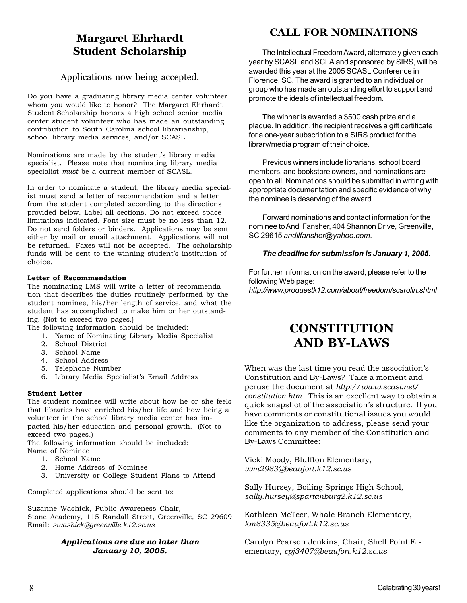## **Margaret Ehrhardt Student Scholarship**

### Applications now being accepted.

Do you have a graduating library media center volunteer whom you would like to honor? The Margaret Ehrhardt Student Scholarship honors a high school senior media center student volunteer who has made an outstanding contribution to South Carolina school librarianship, school library media services, and/or SCASL.

Nominations are made by the student's library media specialist. Please note that nominating library media specialist *must* be a current member of SCASL.

In order to nominate a student, the library media specialist must send a letter of recommendation and a letter from the student completed according to the directions provided below. Label all sections. Do not exceed space limitations indicated. Font size must be no less than 12. Do not send folders or binders. Applications may be sent either by mail or email attachment. Applications will not be returned. Faxes will not be accepted. The scholarship funds will be sent to the winning student's institution of choice.

### **Letter of Recommendation**

The nominating LMS will write a letter of recommendation that describes the duties routinely performed by the student nominee, his/her length of service, and what the student has accomplished to make him or her outstanding. (Not to exceed two pages.)

The following information should be included:

- 1. Name of Nominating Library Media Specialist
- 2. School District
- 3. School Name
- 4. School Address
- 5. Telephone Number
- 6. Library Media Specialist's Email Address

### **Student Letter**

The student nominee will write about how he or she feels that libraries have enriched his/her life and how being a volunteer in the school library media center has impacted his/her education and personal growth. (Not to exceed two pages.)

The following information should be included: Name of Nominee

- 1. School Name
- 2. Home Address of Nominee
- 3. University or College Student Plans to Attend

Completed applications should be sent to:

Suzanne Washick, Public Awareness Chair, Stone Academy, 115 Randall Street, Greenville, SC 29609 Email: *swashick@greenville.k12.sc.us*

### *Applications are due no later than January 10, 2005.*

## **CALL FOR NOMINATIONS**

The Intellectual Freedom Award, alternately given each year by SCASL and SCLA and sponsored by SIRS, will be awarded this year at the 2005 SCASL Conference in Florence, SC. The award is granted to an individual or group who has made an outstanding effort to support and promote the ideals of intellectual freedom.

The winner is awarded a \$500 cash prize and a plaque. In addition, the recipient receives a gift certificate for a one-year subscription to a SIRS product for the library/media program of their choice.

Previous winners include librarians, school board members, and bookstore owners, and nominations are open to all. Nominations should be submitted in writing with appropriate documentation and specific evidence of why the nominee is deserving of the award.

Forward nominations and contact information for the nominee to Andi Fansher, 404 Shannon Drive, Greenville, SC 29615 *andilfansher@yahoo.com*.

### *The deadline for submission is January 1, 2005.*

For further information on the award, please refer to the following Web page: *http://www.proquestk12.com/about/freedom/scarolin.shtml*

# **CONSTITUTION AND BY-LAWS**

When was the last time you read the association's Constitution and By-Laws? Take a moment and peruse the document at *http://www.scasl.net/ constitution.htm*. This is an excellent way to obtain a quick snapshot of the association's structure. If you have comments or constitutional issues you would like the organization to address, please send your comments to any member of the Constitution and By-Laws Committee:

Vicki Moody, Bluffton Elementary, *vvm2983@beaufort.k12.sc.us*

Sally Hursey, Boiling Springs High School, *sally.hursey@spartanburg2.k12.sc.us*

Kathleen McTeer, Whale Branch Elementary, *km8335@beaufort.k12.sc.us*

Carolyn Pearson Jenkins, Chair, Shell Point Elementary, *cpj3407@beaufort.k12.sc.us*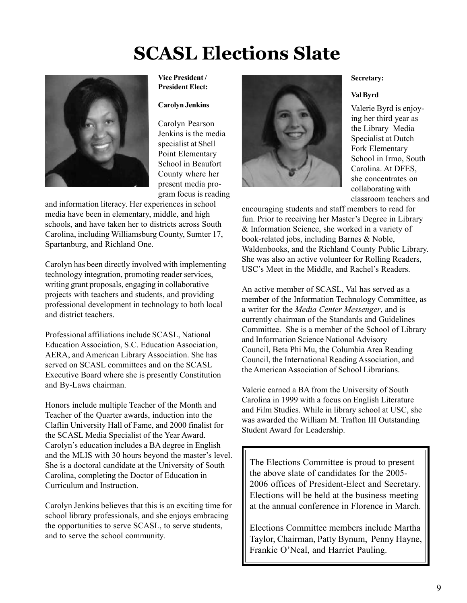# **SCASL Elections Slate**



### **Vice President / President Elect:**

### **Carolyn Jenkins**

Carolyn Pearson Jenkins is the media specialist at Shell Point Elementary School in Beaufort County where her present media program focus is reading

and information literacy. Her experiences in school media have been in elementary, middle, and high schools, and have taken her to districts across South Carolina, including Williamsburg County, Sumter 17, Spartanburg, and Richland One.

Carolyn has been directly involved with implementing technology integration, promoting reader services, writing grant proposals, engaging in collaborative projects with teachers and students, and providing professional development in technology to both local and district teachers.

Professional affiliations include SCASL, National Education Association, S.C. Education Association, AERA, and American Library Association. She has served on SCASL committees and on the SCASL Executive Board where she is presently Constitution and By-Laws chairman.

Honors include multiple Teacher of the Month and Teacher of the Quarter awards, induction into the Claflin University Hall of Fame, and 2000 finalist for the SCASL Media Specialist of the Year Award. Carolyn's education includes a BA degree in English and the MLIS with 30 hours beyond the master's level. She is a doctoral candidate at the University of South Carolina, completing the Doctor of Education in Curriculum and Instruction.

Carolyn Jenkins believes that this is an exciting time for school library professionals, and she enjoys embracing the opportunities to serve SCASL, to serve students, and to serve the school community.



### **Secretary:**

### **Val Byrd**

Valerie Byrd is enjoying her third year as the Library Media Specialist at Dutch Fork Elementary School in Irmo, South Carolina. At DFES, she concentrates on collaborating with classroom teachers and

encouraging students and staff members to read for fun. Prior to receiving her Master's Degree in Library & Information Science, she worked in a variety of book-related jobs, including Barnes & Noble, Waldenbooks, and the Richland County Public Library. She was also an active volunteer for Rolling Readers, USC's Meet in the Middle, and Rachel's Readers.

An active member of SCASL, Val has served as a member of the Information Technology Committee, as a writer for the *Media Center Messenger*, and is currently chairman of the Standards and Guidelines Committee. She is a member of the School of Library and Information Science National Advisory Council, Beta Phi Mu, the Columbia Area Reading Council, the International Reading Association, and the American Association of School Librarians.

Valerie earned a BA from the University of South Carolina in 1999 with a focus on English Literature and Film Studies. While in library school at USC, she was awarded the William M. Trafton III Outstanding Student Award for Leadership.

The Elections Committee is proud to present the above slate of candidates for the 2005- 2006 offices of President-Elect and Secretary. Elections will be held at the business meeting at the annual conference in Florence in March.

Elections Committee members include Martha Taylor, Chairman, Patty Bynum, Penny Hayne, Frankie O'Neal, and Harriet Pauling.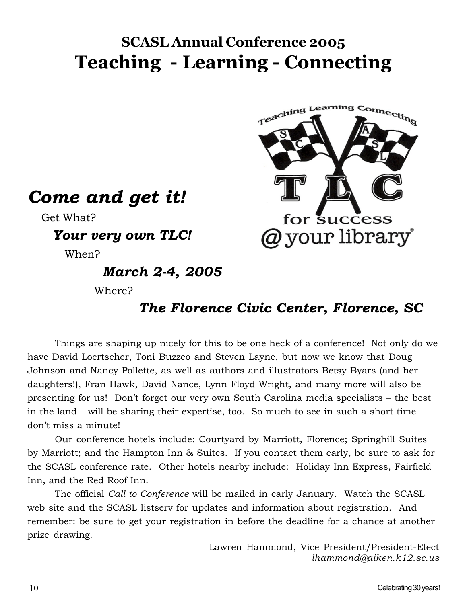# **SCASL Annual Conference 2005 Teaching - Learning - Connecting**



*Come and get it!*

Get What?

*Your very own TLC!*

When?

# *March 2-4, 2005*

Where?

# *The Florence Civic Center, Florence, SC*

Things are shaping up nicely for this to be one heck of a conference! Not only do we have David Loertscher, Toni Buzzeo and Steven Layne, but now we know that Doug Johnson and Nancy Pollette, as well as authors and illustrators Betsy Byars (and her daughters!), Fran Hawk, David Nance, Lynn Floyd Wright, and many more will also be presenting for us! Don't forget our very own South Carolina media specialists – the best in the land – will be sharing their expertise, too. So much to see in such a short time – don't miss a minute!

Our conference hotels include: Courtyard by Marriott, Florence; Springhill Suites by Marriott; and the Hampton Inn & Suites. If you contact them early, be sure to ask for the SCASL conference rate. Other hotels nearby include: Holiday Inn Express, Fairfield Inn, and the Red Roof Inn.

The official *Call to Conference* will be mailed in early January. Watch the SCASL web site and the SCASL listserv for updates and information about registration. And remember: be sure to get your registration in before the deadline for a chance at another prize drawing.

> Lawren Hammond, Vice President/President-Elect *lhammond@aiken.k12.sc.us*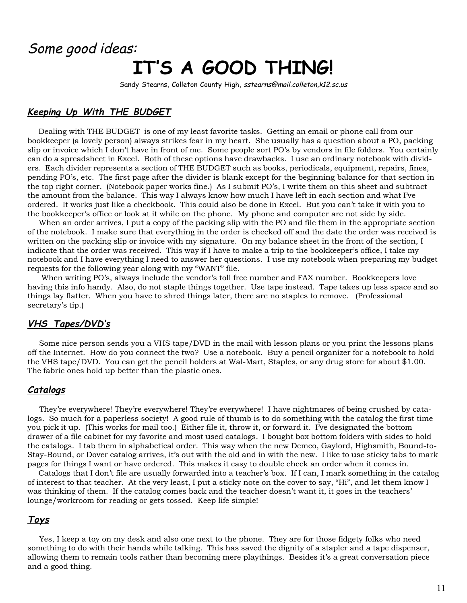# Some good ideas:

# **IT'S A GOOD THING!**

Sandy Stearns, Colleton County High, sstearns@mail.colleton,k12.sc.us

## **Keeping Up With THE BUDGET**

 Dealing with THE BUDGET is one of my least favorite tasks. Getting an email or phone call from our bookkeeper (a lovely person) always strikes fear in my heart. She usually has a question about a PO, packing slip or invoice which I don't have in front of me. Some people sort PO's by vendors in file folders. You certainly can do a spreadsheet in Excel. Both of these options have drawbacks. I use an ordinary notebook with dividers. Each divider represents a section of THE BUDGET such as books, periodicals, equipment, repairs, fines, pending PO's, etc. The first page after the divider is blank except for the beginning balance for that section in the top right corner. (Notebook paper works fine.) As I submit PO's, I write them on this sheet and subtract the amount from the balance. This way I always know how much I have left in each section and what I've ordered. It works just like a checkbook. This could also be done in Excel. But you can't take it with you to the bookkeeper's office or look at it while on the phone. My phone and computer are not side by side.

 When an order arrives, I put a copy of the packing slip with the PO and file them in the appropriate section of the notebook. I make sure that everything in the order is checked off and the date the order was received is written on the packing slip or invoice with my signature. On my balance sheet in the front of the section, I indicate that the order was received. This way if I have to make a trip to the bookkeeper's office, I take my notebook and I have everything I need to answer her questions. I use my notebook when preparing my budget requests for the following year along with my "WANT" file.

 When writing PO's, always include the vendor's toll free number and FAX number. Bookkeepers love having this info handy. Also, do not staple things together. Use tape instead. Tape takes up less space and so things lay flatter. When you have to shred things later, there are no staples to remove. (Professional secretary's tip.)

### **VHS Tapes/DVD's**

 Some nice person sends you a VHS tape/DVD in the mail with lesson plans or you print the lessons plans off the Internet. How do you connect the two? Use a notebook. Buy a pencil organizer for a notebook to hold the VHS tape/DVD. You can get the pencil holders at Wal-Mart, Staples, or any drug store for about \$1.00. The fabric ones hold up better than the plastic ones.

### **Catalogs**

 They're everywhere! They're everywhere! They're everywhere! I have nightmares of being crushed by catalogs. So much for a paperless society! A good rule of thumb is to do something with the catalog the first time you pick it up. (This works for mail too.) Either file it, throw it, or forward it. I've designated the bottom drawer of a file cabinet for my favorite and most used catalogs. I bought box bottom folders with sides to hold the catalogs. I tab them in alphabetical order. This way when the new Demco, Gaylord, Highsmith, Bound-to-Stay-Bound, or Dover catalog arrives, it's out with the old and in with the new. I like to use sticky tabs to mark pages for things I want or have ordered. This makes it easy to double check an order when it comes in.

 Catalogs that I don't file are usually forwarded into a teacher's box. If I can, I mark something in the catalog of interest to that teacher. At the very least, I put a sticky note on the cover to say, "Hi", and let them know I was thinking of them. If the catalog comes back and the teacher doesn't want it, it goes in the teachers' lounge/workroom for reading or gets tossed. Keep life simple!

### **Toys**

 Yes, I keep a toy on my desk and also one next to the phone. They are for those fidgety folks who need something to do with their hands while talking. This has saved the dignity of a stapler and a tape dispenser, allowing them to remain tools rather than becoming mere playthings. Besides it's a great conversation piece and a good thing.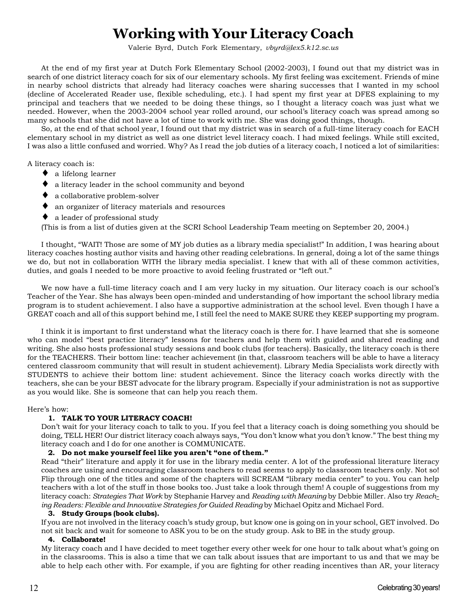# **Working with Your Literacy Coach**

Valerie Byrd, Dutch Fork Elementary, *vbyrd@lex5.k12.sc.us*

At the end of my first year at Dutch Fork Elementary School (2002-2003), I found out that my district was in search of one district literacy coach for six of our elementary schools. My first feeling was excitement. Friends of mine in nearby school districts that already had literacy coaches were sharing successes that I wanted in my school (decline of Accelerated Reader use, flexible scheduling, etc.). I had spent my first year at DFES explaining to my principal and teachers that we needed to be doing these things, so I thought a literacy coach was just what we needed. However, when the 2003-2004 school year rolled around, our school's literacy coach was spread among so many schools that she did not have a lot of time to work with me. She was doing good things, though.

So, at the end of that school year, I found out that my district was in search of a full-time literacy coach for EACH elementary school in my district as well as one district level literacy coach. I had mixed feelings. While still excited, I was also a little confused and worried. Why? As I read the job duties of a literacy coach, I noticed a lot of similarities:

A literacy coach is:

- ♦ a lifelong learner
- ♦ a literacy leader in the school community and beyond
- ♦ a collaborative problem-solver
- ♦ an organizer of literacy materials and resources
- ♦ a leader of professional study

(This is from a list of duties given at the SCRI School Leadership Team meeting on September 20, 2004.)

I thought, "WAIT! Those are some of MY job duties as a library media specialist!" In addition, I was hearing about literacy coaches hosting author visits and having other reading celebrations. In general, doing a lot of the same things we do, but not in collaboration WITH the library media specialist. I knew that with all of these common activities, duties, and goals I needed to be more proactive to avoid feeling frustrated or "left out."

We now have a full-time literacy coach and I am very lucky in my situation. Our literacy coach is our school's Teacher of the Year. She has always been open-minded and understanding of how important the school library media program is to student achievement. I also have a supportive administration at the school level. Even though I have a GREAT coach and all of this support behind me, I still feel the need to MAKE SURE they KEEP supporting my program.

I think it is important to first understand what the literacy coach is there for. I have learned that she is someone who can model "best practice literacy" lessons for teachers and help them with guided and shared reading and writing. She also hosts professional study sessions and book clubs (for teachers). Basically, the literacy coach is there for the TEACHERS. Their bottom line: teacher achievement (in that, classroom teachers will be able to have a literacy centered classroom community that will result in student achievement). Library Media Specialists work directly with STUDENTS to achieve their bottom line: student achievement. Since the literacy coach works directly with the teachers, she can be your BEST advocate for the library program. Especially if your administration is not as supportive as you would like. She is someone that can help you reach them.

Here's how:

### **1. TALK TO YOUR LITERACY COACH!**

Don't wait for your literacy coach to talk to you. If you feel that a literacy coach is doing something you should be doing, TELL HER! Our district literacy coach always says, "You don't know what you don't know." The best thing my literacy coach and I do for one another is COMMUNICATE.

### **2. Do not make yourself feel like you aren't "one of them."**

Read "their" literature and apply it for use in the library media center. A lot of the professional literature literacy coaches are using and encouraging classroom teachers to read seems to apply to classroom teachers only. Not so! Flip through one of the titles and some of the chapters will SCREAM "library media center" to you. You can help teachers with a lot of the stuff in those books too. Just take a look through them! A couple of suggestions from my literacy coach: *Strategies That Work* by Stephanie Harvey and *Reading with Meaning* by Debbie Miller. Also try *Reaching Readers: Flexible and Innovative Strategies for Guided Reading* by Michael Opitz and Michael Ford.

### **3. Study Groups (book clubs).**

If you are not involved in the literacy coach's study group, but know one is going on in your school, GET involved. Do not sit back and wait for someone to ASK you to be on the study group. Ask to BE in the study group.

### **4. Collaborate!**

My literacy coach and I have decided to meet together every other week for one hour to talk about what's going on in the classrooms. This is also a time that we can talk about issues that are important to us and that we may be able to help each other with. For example, if you are fighting for other reading incentives than AR, your literacy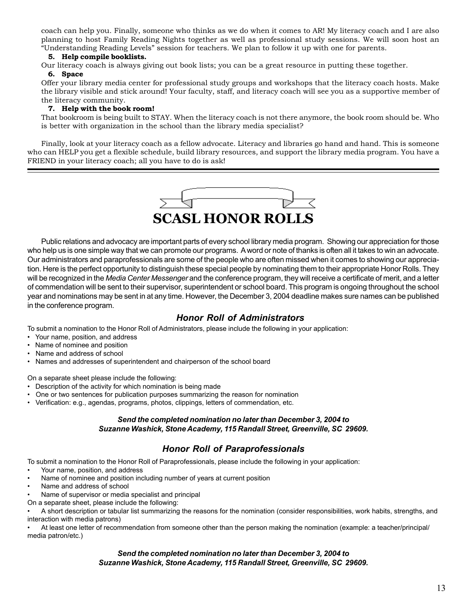coach can help you. Finally, someone who thinks as we do when it comes to AR! My literacy coach and I are also planning to host Family Reading Nights together as well as professional study sessions. We will soon host an "Understanding Reading Levels" session for teachers. We plan to follow it up with one for parents.

### **5. Help compile booklists.**

Our literacy coach is always giving out book lists; you can be a great resource in putting these together.

### **6. Space**

Offer your library media center for professional study groups and workshops that the literacy coach hosts. Make the library visible and stick around! Your faculty, staff, and literacy coach will see you as a supportive member of the literacy community.

### **7. Help with the book room!**

That bookroom is being built to STAY. When the literacy coach is not there anymore, the book room should be. Who is better with organization in the school than the library media specialist?

Finally, look at your literacy coach as a fellow advocate. Literacy and libraries go hand and hand. This is someone who can HELP you get a flexible schedule, build library resources, and support the library media program. You have a FRIEND in your literacy coach; all you have to do is ask!



Public relations and advocacy are important parts of every school library media program. Showing our appreciation for those who help us is one simple way that we can promote our programs. A word or note of thanks is often all it takes to win an advocate. Our administrators and paraprofessionals are some of the people who are often missed when it comes to showing our appreciation. Here is the perfect opportunity to distinguish these special people by nominating them to their appropriate Honor Rolls. They will be recognized in the *Media Center Messenger* and the conference program, they will receive a certificate of merit, and a letter of commendation will be sent to their supervisor, superintendent or school board. This program is ongoing throughout the school year and nominations may be sent in at any time. However, the December 3, 2004 deadline makes sure names can be published in the conference program.

### *Honor Roll of Administrators*

To submit a nomination to the Honor Roll of Administrators, please include the following in your application:

- Your name, position, and address
- Name of nominee and position
- Name and address of school
- Names and addresses of superintendent and chairperson of the school board

On a separate sheet please include the following:

- Description of the activity for which nomination is being made
- One or two sentences for publication purposes summarizing the reason for nomination
- Verification: e.g., agendas, programs, photos, clippings, letters of commendation, etc.

### *Send the completed nomination no later than December 3, 2004 to Suzanne Washick, Stone Academy, 115 Randall Street, Greenville, SC 29609.*

### *Honor Roll of Paraprofessionals*

To submit a nomination to the Honor Roll of Paraprofessionals, please include the following in your application:

- Your name, position, and address
- Name of nominee and position including number of years at current position
- Name and address of school
- Name of supervisor or media specialist and principal
- On a separate sheet, please include the following:

• A short description or tabular list summarizing the reasons for the nomination (consider responsibilities, work habits, strengths, and interaction with media patrons)

• At least one letter of recommendation from someone other than the person making the nomination (example: a teacher/principal/ media patron/etc.)

### *Send the completed nomination no later than December 3, 2004 to Suzanne Washick, Stone Academy, 115 Randall Street, Greenville, SC 29609.*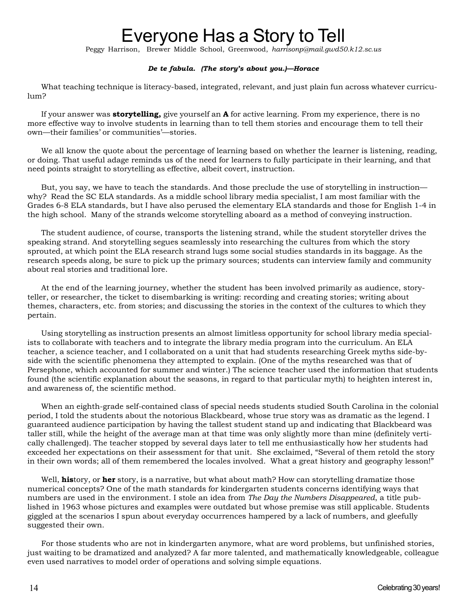# Everyone Has a Story to Tell

Peggy Harrison, Brewer Middle School, Greenwood, *harrisonp@mail.gwd50.k12.sc.us*

### *De te fabula. (The story's about you.)—Horace*

What teaching technique is literacy-based, integrated, relevant, and just plain fun across whatever curriculum?

If your answer was **storytelling,** give yourself an **A** for active learning. From my experience, there is no more effective way to involve students in learning than to tell them stories and encourage them to tell their own—their families' or communities'—stories.

We all know the quote about the percentage of learning based on whether the learner is listening, reading, or doing. That useful adage reminds us of the need for learners to fully participate in their learning, and that need points straight to storytelling as effective, albeit covert, instruction.

But, you say, we have to teach the standards. And those preclude the use of storytelling in instruction why? Read the SC ELA standards. As a middle school library media specialist, I am most familiar with the Grades 6-8 ELA standards, but I have also perused the elementary ELA standards and those for English 1-4 in the high school. Many of the strands welcome storytelling aboard as a method of conveying instruction.

The student audience, of course, transports the listening strand, while the student storyteller drives the speaking strand. And storytelling segues seamlessly into researching the cultures from which the story sprouted, at which point the ELA research strand lugs some social studies standards in its baggage. As the research speeds along, be sure to pick up the primary sources; students can interview family and community about real stories and traditional lore.

At the end of the learning journey, whether the student has been involved primarily as audience, storyteller, or researcher, the ticket to disembarking is writing: recording and creating stories; writing about themes, characters, etc. from stories; and discussing the stories in the context of the cultures to which they pertain.

Using storytelling as instruction presents an almost limitless opportunity for school library media specialists to collaborate with teachers and to integrate the library media program into the curriculum. An ELA teacher, a science teacher, and I collaborated on a unit that had students researching Greek myths side-byside with the scientific phenomena they attempted to explain. (One of the myths researched was that of Persephone, which accounted for summer and winter.) The science teacher used the information that students found (the scientific explanation about the seasons, in regard to that particular myth) to heighten interest in, and awareness of, the scientific method.

When an eighth-grade self-contained class of special needs students studied South Carolina in the colonial period, I told the students about the notorious Blackbeard, whose true story was as dramatic as the legend. I guaranteed audience participation by having the tallest student stand up and indicating that Blackbeard was taller still, while the height of the average man at that time was only slightly more than mine (definitely vertically challenged). The teacher stopped by several days later to tell me enthusiastically how her students had exceeded her expectations on their assessment for that unit. She exclaimed, "Several of them retold the story in their own words; all of them remembered the locales involved. What a great history and geography lesson!"

Well, **his**tory, or **her** story, is a narrative, but what about math? How can storytelling dramatize those numerical concepts? One of the math standards for kindergarten students concerns identifying ways that numbers are used in the environment. I stole an idea from *The Day the Numbers Disappeared*, a title published in 1963 whose pictures and examples were outdated but whose premise was still applicable. Students giggled at the scenarios I spun about everyday occurrences hampered by a lack of numbers, and gleefully suggested their own.

For those students who are not in kindergarten anymore, what are word problems, but unfinished stories, just waiting to be dramatized and analyzed? A far more talented, and mathematically knowledgeable, colleague even used narratives to model order of operations and solving simple equations.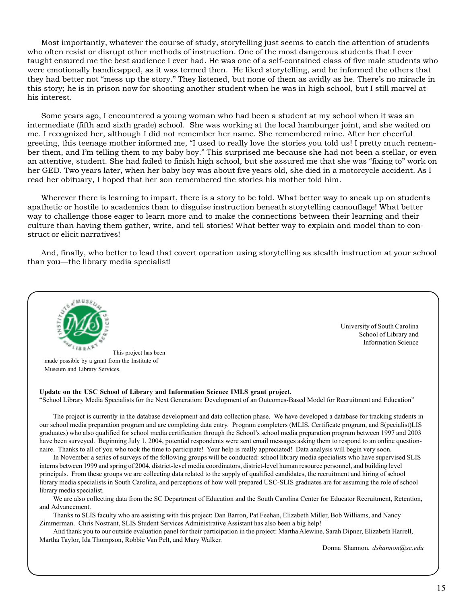Most importantly, whatever the course of study, storytelling just seems to catch the attention of students who often resist or disrupt other methods of instruction. One of the most dangerous students that I ever taught ensured me the best audience I ever had. He was one of a self-contained class of five male students who were emotionally handicapped, as it was termed then. He liked storytelling, and he informed the others that they had better not "mess up the story." They listened, but none of them as avidly as he. There's no miracle in this story; he is in prison now for shooting another student when he was in high school, but I still marvel at his interest.

Some years ago, I encountered a young woman who had been a student at my school when it was an intermediate (fifth and sixth grade) school. She was working at the local hamburger joint, and she waited on me. I recognized her, although I did not remember her name. She remembered mine. After her cheerful greeting, this teenage mother informed me, "I used to really love the stories you told us! I pretty much remember them, and I'm telling them to my baby boy." This surprised me because she had not been a stellar, or even an attentive, student. She had failed to finish high school, but she assured me that she was "fixing to" work on her GED. Two years later, when her baby boy was about five years old, she died in a motorcycle accident. As I read her obituary, I hoped that her son remembered the stories his mother told him.

Wherever there is learning to impart, there is a story to be told. What better way to sneak up on students apathetic or hostile to academics than to disguise instruction beneath storytelling camouflage! What better way to challenge those eager to learn more and to make the connections between their learning and their culture than having them gather, write, and tell stories! What better way to explain and model than to construct or elicit narratives!

And, finally, who better to lead that covert operation using storytelling as stealth instruction at your school than you—the library media specialist!



We are also collecting data from the SC Department of Education and the South Carolina Center for Educator Recruitment, Retention, and Advancement.

Thanks to SLIS faculty who are assisting with this project: Dan Barron, Pat Feehan, Elizabeth Miller, Bob Williams, and Nancy Zimmerman. Chris Nostrant, SLIS Student Services Administrative Assistant has also been a big help!

And thank you to our outside evaluation panel for their participation in the project: Martha Alewine, Sarah Dipner, Elizabeth Harrell, Martha Taylor, Ida Thompson, Robbie Van Pelt, and Mary Walker.

Donna Shannon, *dshannon@sc.edu*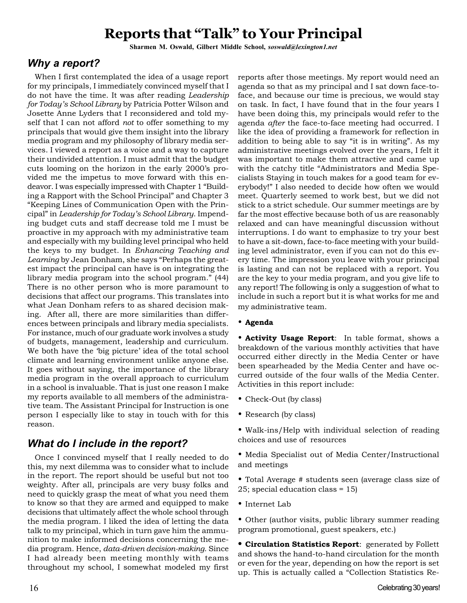# **Reports that "Talk" to Your Principal**

**Sharmen M. Oswald, Gilbert Middle School,** *soswald@lexington1.net*

### *Why a report?*

When I first contemplated the idea of a usage report for my principals, I immediately convinced myself that I do not have the time. It was after reading *Leadership for Today's School Library* by Patricia Potter Wilson and Josette Anne Lyders that I reconsidered and told myself that I can not afford *not* to offer something to my principals that would give them insight into the library media program and my philosophy of library media services. I viewed a report as a voice and a way to capture their undivided attention. I must admit that the budget cuts looming on the horizon in the early 2000's provided me the impetus to move forward with this endeavor. I was especially impressed with Chapter 1 "Building a Rapport with the School Principal" and Chapter 3 "Keeping Lines of Communication Open with the Principal" in *Leadership for Today's School Library*. Impending budget cuts and staff decrease told me I must be proactive in my approach with my administrative team and especially with my building level principal who held the keys to my budget. In *Enhancing Teaching and Learning* by Jean Donham, she says "Perhaps the greatest impact the principal can have is on integrating the library media program into the school program." (44) There is no other person who is more paramount to decisions that affect our programs. This translates into what Jean Donham refers to as shared decision making. After all, there are more similarities than differences between principals and library media specialists. For instance, much of our graduate work involves a study of budgets, management, leadership and curriculum. We both have the 'big picture' idea of the total school climate and learning environment unlike anyone else. It goes without saying, the importance of the library media program in the overall approach to curriculum in a school is invaluable. That is just one reason I make my reports available to all members of the administrative team. The Assistant Principal for Instruction is one person I especially like to stay in touch with for this reason.

## *What do I include in the report?*

Once I convinced myself that I really needed to do this, my next dilemma was to consider what to include in the report. The report should be useful but not too weighty. After all, principals are very busy folks and need to quickly grasp the meat of what you need them to know so that they are armed and equipped to make decisions that ultimately affect the whole school through the media program. I liked the idea of letting the data talk to my principal, which in turn gave him the ammunition to make informed decisions concerning the media program. Hence, *data-driven decision-making*. Since I had already been meeting monthly with teams throughout my school, I somewhat modeled my first

reports after those meetings. My report would need an agenda so that as my principal and I sat down face-toface, and because our time is precious, we would stay on task. In fact, I have found that in the four years I have been doing this, my principals would refer to the agenda *after* the face-to-face meeting had occurred. I like the idea of providing a framework for reflection in addition to being able to say "it is in writing". As my administrative meetings evolved over the years, I felt it was important to make them attractive and came up with the catchy title "Administrators and Media Specialists Staying in touch makes for a good team for everybody!" I also needed to decide how often we would meet. Quarterly seemed to work best, but we did not stick to a strict schedule. Our summer meetings are by far the most effective because both of us are reasonably relaxed and can have meaningful discussion without interruptions. I do want to emphasize to try your best to have a sit-down, face-to-face meeting with your building level administrator, even if you can not do this every time. The impression you leave with your principal is lasting and can not be replaced with a report. You are the key to your media program, and you give life to any report! The following is only a suggestion of what to include in such a report but it is what works for me and my administrative team.

### • **Agenda**

• **Activity Usage Report**: In table format, shows a breakdown of the various monthly activities that have occurred either directly in the Media Center or have been spearheaded by the Media Center and have occurred outside of the four walls of the Media Center. Activities in this report include:

- Check-Out (by class)
- Research (by class)
- Walk-ins/Help with individual selection of reading choices and use of resources
- Media Specialist out of Media Center/Instructional and meetings
- Total Average # students seen (average class size of 25; special education class = 15)
- Internet Lab
- Other (author visits, public library summer reading program promotional, guest speakers, etc.)

**• Circulation Statistics Report**: generated by Follett and shows the hand-to-hand circulation for the month or even for the year, depending on how the report is set up. This is actually called a "Collection Statistics Re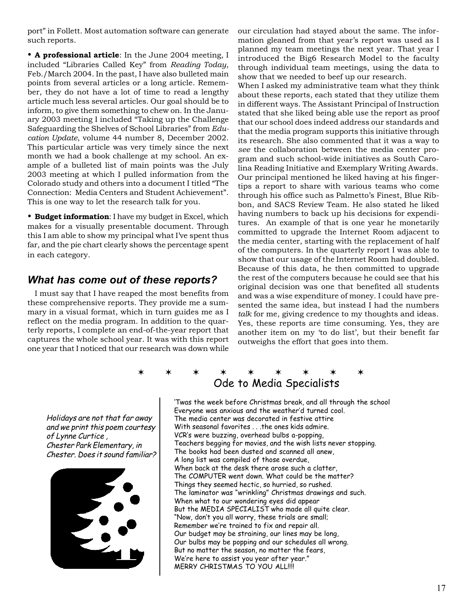port" in Follett. Most automation software can generate such reports.

• **A professional article**: In the June 2004 meeting, I included "Libraries Called Key" from *Reading Today*, Feb./March 2004. In the past, I have also bulleted main points from several articles or a long article. Remember, they do not have a lot of time to read a lengthy article much less several articles. Our goal should be to inform, to give them something to chew on. In the January 2003 meeting I included "Taking up the Challenge Safeguarding the Shelves of School Libraries" from *Education Update*, volume 44 number 8, December 2002. This particular article was very timely since the next month we had a book challenge at my school. An example of a bulleted list of main points was the July 2003 meeting at which I pulled information from the Colorado study and others into a document I titled "The Connection: Media Centers and Student Achievement". This is one way to let the research talk for you.

• **Budget information**: I have my budget in Excel, which makes for a visually presentable document. Through this I am able to show my principal what I've spent thus far, and the pie chart clearly shows the percentage spent in each category.

## *What has come out of these reports?*

I must say that I have reaped the most benefits from these comprehensive reports. They provide me a summary in a visual format, which in turn guides me as I reflect on the media program. In addition to the quarterly reports, I complete an end-of-the-year report that captures the whole school year. It was with this report one year that I noticed that our research was down while

our circulation had stayed about the same. The information gleaned from that year's report was used as I planned my team meetings the next year. That year I introduced the Big6 Research Model to the faculty through individual team meetings, using the data to show that we needed to beef up our research.

When I asked my administrative team what they think about these reports, each stated that they utilize them in different ways. The Assistant Principal of Instruction stated that she liked being able use the report as proof that our school does indeed address our standards and that the media program supports this initiative through its research. She also commented that it was a way to *see* the collaboration between the media center program and such school-wide initiatives as South Carolina Reading Initiative and Exemplary Writing Awards. Our principal mentioned he liked having at his fingertips a report to share with various teams who come through his office such as Palmetto's Finest, Blue Ribbon, and SACS Review Team. He also stated he liked having numbers to back up his decisions for expenditures. An example of that is one year he monetarily committed to upgrade the Internet Room adjacent to the media center, starting with the replacement of half of the computers. In the quarterly report I was able to show that our usage of the Internet Room had doubled. Because of this data, he then committed to upgrade the rest of the computers because he could see that his original decision was one that benefited all students and was a wise expenditure of money. I could have presented the same idea, but instead I had the numbers *talk* for me, giving credence to my thoughts and ideas. Yes, these reports are time consuming. Yes, they are another item on my 'to do list', but their benefit far outweighs the effort that goes into them.

## ✶✶✶✶✶✶✶✶✶ Ode to Media Specialists

Holidays are not that far away and we print this poem courtesy of Lynne Curtice , Chester Park Elementary, in Chester. Does it sound familiar?



'Twas the week before Christmas break, and all through the school Everyone was anxious and the weather'd turned cool. The media center was decorated in festive attire With seasonal favorites . . .the ones kids admire. VCR's were buzzing, overhead bulbs a-popping, Teachers begging for movies, and the wish lists never stopping. The books had been dusted and scanned all anew, A long list was compiled of those overdue, When back at the desk there arose such a clatter, The COMPUTER went down. What could be the matter? Things they seemed hectic, so hurried, so rushed. The laminator was "wrinkling" Christmas drawings and such. When what to our wondering eyes did appear But the MEDIA SPECIALIST who made all quite clear. "Now, don't you all worry, these trials are small; Remember we're trained to fix and repair all. Our budget may be straining, our lines may be long, Our bulbs may be popping and our schedules all wrong. But no matter the season, no matter the fears, We're here to assist you year after year." MERRY CHRISTMAS TO YOU ALL!!!!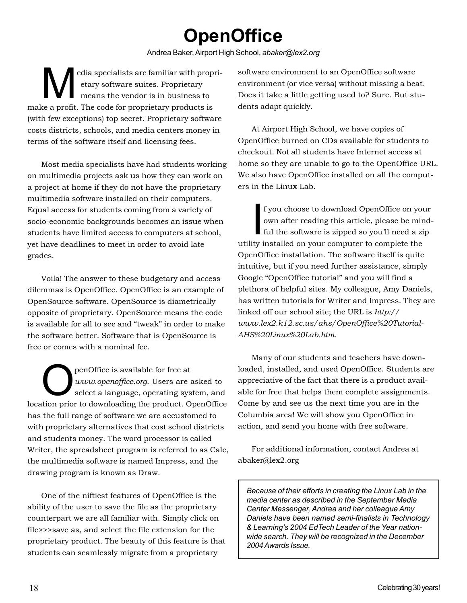# **OpenOffice**

Andrea Baker, Airport High School, *abaker@lex2.org*

Edia specialists are familiar with propri-<br>etary software suites. Proprietary<br>means the vendor is in business to etary software suites. Proprietary means the vendor is in business to make a profit. The code for proprietary products is (with few exceptions) top secret. Proprietary software costs districts, schools, and media centers money in terms of the software itself and licensing fees.

Most media specialists have had students working on multimedia projects ask us how they can work on a project at home if they do not have the proprietary multimedia software installed on their computers. Equal access for students coming from a variety of socio-economic backgrounds becomes an issue when students have limited access to computers at school, yet have deadlines to meet in order to avoid late grades.

Voila! The answer to these budgetary and access dilemmas is OpenOffice. OpenOffice is an example of OpenSource software. OpenSource is diametrically opposite of proprietary. OpenSource means the code is available for all to see and "tweak" in order to make the software better. Software that is OpenSource is free or comes with a nominal fee.

penOffice is available for free at *www.openoffice.org*. Users are asked to select a language, operating system, and location prior to downloading the product. OpenOffice has the full range of software we are accustomed to with proprietary alternatives that cost school districts and students money. The word processor is called Writer, the spreadsheet program is referred to as Calc, the multimedia software is named Impress, and the drawing program is known as Draw.

One of the niftiest features of OpenOffice is the ability of the user to save the file as the proprietary counterpart we are all familiar with. Simply click on file>>>save as, and select the file extension for the proprietary product. The beauty of this feature is that students can seamlessly migrate from a proprietary

software environment to an OpenOffice software environment (or vice versa) without missing a beat. Does it take a little getting used to? Sure. But students adapt quickly.

At Airport High School, we have copies of OpenOffice burned on CDs available for students to checkout. Not all students have Internet access at home so they are unable to go to the OpenOffice URL. We also have OpenOffice installed on all the computers in the Linux Lab.

I f you choose to download OpenOffice on your own after reading this article, please be mindful the software is zipped so you'll need a zip utility installed on your computer to complete the OpenOffice installation. The software itself is quite intuitive, but if you need further assistance, simply Google "OpenOffice tutorial" and you will find a plethora of helpful sites. My colleague, Amy Daniels, has written tutorials for Writer and Impress. They are linked off our school site; the URL is *http:// www.lex2.k12.sc.us/ahs/OpenOffice%20Tutorial-AHS%20Linux%20Lab.htm*.

Many of our students and teachers have downloaded, installed, and used OpenOffice. Students are appreciative of the fact that there is a product available for free that helps them complete assignments. Come by and see us the next time you are in the Columbia area! We will show you OpenOffice in action, and send you home with free software.

For additional information, contact Andrea at abaker@lex2.org

*Because of their efforts in creating the Linux Lab in the media center as described in the September Media Center Messenger, Andrea and her colleague Amy Daniels have been named semi-finalists in Technology & Learning's 2004 EdTech Leader of the Year nationwide search. They will be recognized in the December 2004 Awards Issue.*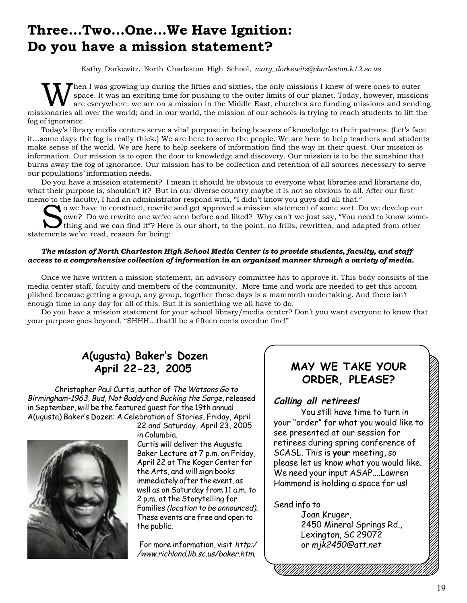# **Three…Two…One…We Have Ignition: Do you have a mission statement?**

Kathy Dorkewitz, North Charleston High School, *mary\_dorkewitz@charleston.k12.sc.us*

hen I was growing up during the fifties and sixties, the only missions I knew of were ones to outer space. It was an exciting time for pushing to the outer limits of our planet. Today, however, missions are everywhere: we are on a mission in the Middle East; churches are funding missions and sending missionaries all over the world; and in our world, the mission of our schools is trying to reach students to lift the fog of ignorance.

Today's library media centers serve a vital purpose in being beacons of knowledge to their patrons. (Let's face it…some days the fog is really thick.) We are here to serve the people. We are here to help teachers and students make sense of the world. We are here to help seekers of information find the way in their quest. Our mission is information. Our mission is to open the door to knowledge and discovery. Our mission is to be the sunshine that burns away the fog of ignorance. Our mission has to be collection and retention of all sources necessary to serve our populations' information needs.

Do you have a mission statement? I mean it should be obvious to everyone what libraries and librarians do, what their purpose is, shouldn't it? But in our diverse country maybe it is not so obvious to all. After our first memo to the faculty, I had an administrator respond with, "I didn't know you guys did all that."

So the lacting, I had an administrator response with, I didn't know you gays did an that.<br>O we have to construct, rewrite and get approved a mission statement of some sort. Do we develop our<br>thing and we can find it"? Here own? Do we rewrite one we've seen before and liked? Why can't we just say, "You need to know something and we can find it"? Here is our short, to the point, no-frills, rewritten, and adapted from other statements we've read, reason for being:

### *The mission of North Charleston High School Media Center is to provide students, faculty, and staff access to a comprehensive collection of information in an organized manner through a variety of media.*

Once we have written a mission statement, an advisory committee has to approve it. This body consists of the media center staff, faculty and members of the community. More time and work are needed to get this accomplished because getting a group, any group, together these days is a mammoth undertaking. And there isn't enough time in any day for all of this. But it is something we all have to do.

Do you have a mission statement for your school library/media center? Don't you want everyone to know that your purpose goes beyond, "SHHH…that'll be a fifteen cents overdue fine!"

# **A(ugusta) Baker's Dozen April 22-23, 2005**

Christopher Paul Curtis, author of The Watsons Go to Birmingham-1963, Bud, Not Buddy and Bucking the Sarge, released in September, will be the featured guest for the 19th annual A(ugusta) Baker's Dozen: A Celebration of Stories, Friday, April



22 and Saturday, April 23, 2005 in Columbia.

Curtis will deliver the Augusta Baker Lecture at 7 p.m. on Friday, April 22 at The Koger Center for the Arts, and will sign books immediately after the event, as well as on Saturday from 11 a.m. to 2 p.m. at the Storytelling for Families (location to be announced). These events are free and open to the public.

For more information, visit http:/ /www.richland.lib.sc.us/baker.htm.

#### MAY WE TAKE YOUR  $\boxtimes$ 123456789012345678901234567890121234567890123456789012345678901212 **ORDER, PLEASE?**  $\bullet$

12345678901234567890123456789012345678901234567890123456789012345678901234567890123456789012345678901234567890  $123$  $1235678901234567890123456789012345678901234567890123456789012345678901234567890123456789012345678901234567890123456789012345678901234567890123456789012345678901234567890123456789012345678901234567890123456789012345678901$ 

 $1235678901234567890123456789012345678901234567890123456789012345678901234567890123456789012345678901234567890123456789012345678901234567890123456789012345678901234567890123456789012345678901234567890123456789012345678901$  $1236789012345678901234567890123456789012345678901234567890123456789012345678901234567890123456789012345678901234567890123456789012345678901234567890123456789012345678901234567890123456789012345678901234567890123456789012$  $1236789012345678901234567890123456789012345678901234567890123456789012345678901234567890123456789012345678901234567890123456789012345678901234567890123456789012345678901234567890123456789012345678901234567890123456789012$  $1236789012345678901234567890123456789012345678901234567890123456789012345678901234567890123456789012345678901234567890123456789012345678901234567890123456789012345678901234567890123456789012345678901234567890123456789012$ 

### $\mathcal C$ alling all retirees!

You still have time to turn in  $\mathscr{C}$ your "order" for what you would like to  $\mathbb{Z}$ see presented at our session for  $\mathbb{Z}$ retirees during spring conference of  $\mathbb{Z}$ SCASL. This is **your** meeting, so  $\mathscr{A}$ 123456789012345678901234567890121234567890123456789012345678901212 please let us know what you would like.  $\mathbb{Z}$  $1$ 33567890123456789012345678901212134567890123456789012345678901234567890121213456789012121345678901212134567890121213456789012121345678901212134567890121213456789012121345678901212134567890121213456789012121345678901212 We need your input  $ASAP$ ....Lawren  $\boxtimes$ 123456789012345678901234567890121234567890123456789012345678901212 Hammond is holding a space for us! 123456789012345678901234567890121234567890123456789012345678901212

#### 123456789012345678901234567890121234567890123456789012345678901212 123456789012345678901234567890121234567890123456789012345678901212 123456789012345678901234567890121234567890123456789012345678901212 Send info to  $1235678789912345678901234567890123456789012345678901234567890123456789012345678901234567890123456789012345678901234567890123456789012345678900123456789001234567890012345678900123456789001234567890012345678900123456789001$

 $\sqrt{2}$  Joan Kruger,  $\sqrt{2}$ 2450 Mineral Springs Rd.,  $\boxtimes$ 123456789012345678901234567890121234567890123456789012345678901212 Lexington, SC 29072  $\boxtimes$  $123$  or mjk2450@att.net  $12$ 3566789012345678901234567890121234567890123456789012345678901234567890123456789012121345678901212134567890121213456789012121345678901212134567890121213456789012121345678901212134567890121213456789012121345678901212134

123456789012345678901234567890121234567890123456789012345678901212

123456789012345678901234567890121234567890123456789012345678901212 123456789012345678901234567890121234567890123456789012345678901212 123456789012345678901234567890121234567890123456789012345678901212 123456789012345678901234567890121234567890123456789012345678901212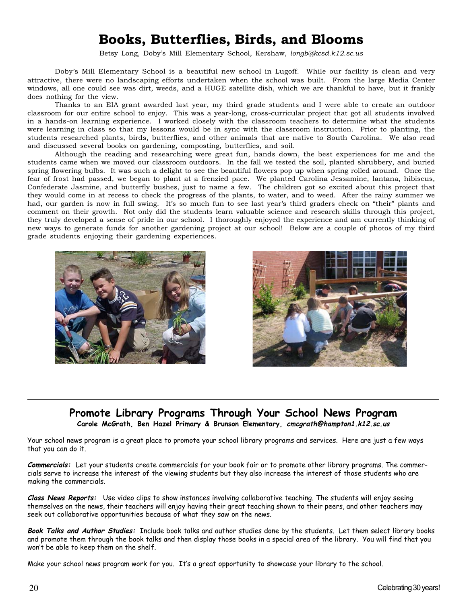# **Books, Butterflies, Birds, and Blooms**

Betsy Long, Doby's Mill Elementary School, Kershaw, *longb@kcsd.k12.sc.us*

Doby's Mill Elementary School is a beautiful new school in Lugoff. While our facility is clean and very attractive, there were no landscaping efforts undertaken when the school was built. From the large Media Center windows, all one could see was dirt, weeds, and a HUGE satellite dish, which we are thankful to have, but it frankly does nothing for the view.

Thanks to an EIA grant awarded last year, my third grade students and I were able to create an outdoor classroom for our entire school to enjoy. This was a year-long, cross-curricular project that got all students involved in a hands-on learning experience. I worked closely with the classroom teachers to determine what the students were learning in class so that my lessons would be in sync with the classroom instruction. Prior to planting, the students researched plants, birds, butterflies, and other animals that are native to South Carolina. We also read and discussed several books on gardening, composting, butterflies, and soil.

Although the reading and researching were great fun, hands down, the best experiences for me and the students came when we moved our classroom outdoors. In the fall we tested the soil, planted shrubbery, and buried spring flowering bulbs. It was such a delight to see the beautiful flowers pop up when spring rolled around. Once the fear of frost had passed, we began to plant at a frenzied pace. We planted Carolina Jessamine, lantana, hibiscus, Confederate Jasmine, and butterfly bushes, just to name a few. The children got so excited about this project that they would come in at recess to check the progress of the plants, to water, and to weed. After the rainy summer we had, our garden is now in full swing. It's so much fun to see last year's third graders check on "their" plants and comment on their growth. Not only did the students learn valuable science and research skills through this project, they truly developed a sense of pride in our school. I thoroughly enjoyed the experience and am currently thinking of new ways to generate funds for another gardening project at our school! Below are a couple of photos of my third grade students enjoying their gardening experiences.





# **Promote Library Programs Through Your School News Program**

**Carole McGrath, Ben Hazel Primary & Brunson Elementary, cmcgrath@hampton1.k12.sc.us**

Your school news program is a great place to promote your school library programs and services. Here are just a few ways that you can do it.

**Commercials:** Let your students create commercials for your book fair or to promote other library programs. The commercials serve to increase the interest of the viewing students but they also increase the interest of those students who are making the commercials.

**Class News Reports:** Use video clips to show instances involving collaborative teaching. The students will enjoy seeing themselves on the news, their teachers will enjoy having their great teaching shown to their peers, and other teachers may seek out collaborative opportunities because of what they saw on the news.

**Book Talks and Author Studies:** Include book talks and author studies done by the students. Let them select library books and promote them through the book talks and then display those books in a special area of the library. You will find that you won't be able to keep them on the shelf.

Make your school news program work for you. It's a great opportunity to showcase your library to the school.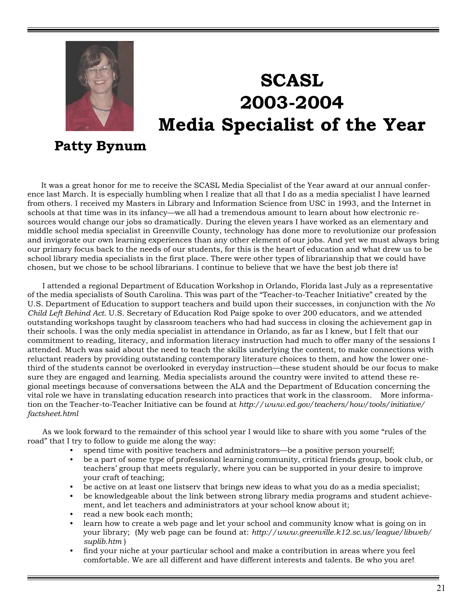

# **SCASL 2003-2004 Media Specialist of the Year**

# **Patty Bynum**

It was a great honor for me to receive the SCASL Media Specialist of the Year award at our annual conference last March. It is especially humbling when I realize that all that I do as a media specialist I have learned from others. I received my Masters in Library and Information Science from USC in 1993, and the Internet in schools at that time was in its infancy—we all had a tremendous amount to learn about how electronic resources would change our jobs so dramatically. During the eleven years I have worked as an elementary and middle school media specialist in Greenville County, technology has done more to revolutionize our profession and invigorate our own learning experiences than any other element of our jobs. And yet we must always bring our primary focus back to the needs of our students, for this is the heart of education and what drew us to be school library media specialists in the first place. There were other types of librarianship that we could have chosen, but we chose to be school librarians. I continue to believe that we have the best job there is!

I attended a regional Department of Education Workshop in Orlando, Florida last July as a representative of the media specialists of South Carolina. This was part of the "Teacher-to-Teacher Initiative" created by the U.S. Department of Education to support teachers and build upon their successes, in conjunction with the *No Child Left Behind Act*. U.S. Secretary of Education Rod Paige spoke to over 200 educators, and we attended outstanding workshops taught by classroom teachers who had had success in closing the achievement gap in their schools. I was the only media specialist in attendance in Orlando, as far as I knew, but I felt that our commitment to reading, literacy, and information literacy instruction had much to offer many of the sessions I attended. Much was said about the need to teach the skills underlying the content, to make connections with reluctant readers by providing outstanding contemporary literature choices to them, and how the lower onethird of the students cannot be overlooked in everyday instruction—these student should be our focus to make sure they are engaged and learning. Media specialists around the country were invited to attend these regional meetings because of conversations between the ALA and the Department of Education concerning the vital role we have in translating education research into practices that work in the classroom. More information on the Teacher-to-Teacher Initiative can be found at *http://www.ed.gov/teachers/how/tools/initiative/ factsheet.html*

As we look forward to the remainder of this school year I would like to share with you some "rules of the road" that I try to follow to guide me along the way:

- spend time with positive teachers and administrators—be a positive person yourself;
- be a part of some type of professional learning community, critical friends group, book club, or teachers' group that meets regularly, where you can be supported in your desire to improve your craft of teaching;
- be active on at least one listserv that brings new ideas to what you do as a media specialist;
- be knowledgeable about the link between strong library media programs and student achievement, and let teachers and administrators at your school know about it;
- read a new book each month;
- learn how to create a web page and let your school and community know what is going on in your library; (My web page can be found at: *http://www.greenville.k12.sc.us/league/libweb/ suplib.htm* )
- find your niche at your particular school and make a contribution in areas where you feel comfortable. We are all different and have different interests and talents. Be who you are!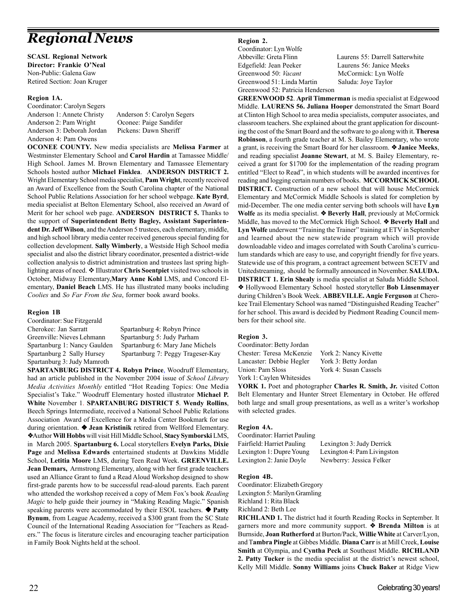# *Regional News*

**SCASL Regional Network Director: Frankie O'Neal** Non-Public: Galena Gaw Retired Section: Joan Kruger

### **Region 1A.**

Coordinator: Carolyn Segers Anderson 1: Annete Christy Anderson 5: Carolyn Segers Anderson 2: Pam Wright Oconee: Paige Sandifer Anderson 3: Deborah Jordan Pickens: Dawn Sheriff Anderson 4: Pam Owens

**OCONEE COUNTY.** New media specialists are **Melissa Farmer** at Westminster Elementary School and **Carol Hardin** at Tamassee Middle/ High School. James M. Brown Elementary and Tamassee Elementary Schools hosted author **Michael Finklea**. **ANDERSON DISTRICT 2.** Wright Elementary School media specialist, **Pam Wright**, recently received an Award of Excellence from the South Carolina chapter of the National School Public Relations Association for her school webpage. **Kate Byrd**, media specialist at Belton Elementary School, also received an Award of Merit for her school web page. **ANDERSON DISTRICT 5.** Thanks to the support of **Superintendent Betty Bagley, Assistant Superintendent Dr. Jeff Wilson**, and the Anderson 5 trustees, each elementary, middle, and high school library media center received generous special funding for collection development. **Sally Wimberly**, a Westside High School media specialist and also the district library coordinator, presented a district-wide collection analysis to district administration and trustees last spring highlighting areas of need.  $\triangle$  Illustrator Chris Soentpiet visited two schools in October, Midway Elementary,**Mary Anne Kohl** LMS, and Concord Elementary, **Daniel Beach** LMS. He has illustrated many books including *Coolies* and *So Far From the Sea*, former book award books.

### **Region 1B**

Coordinator: Sue Fitzgerald Cherokee: Jan Sarratt Spartanburg 4: Robyn Prince Greenville: Nieves Lehmann Spartanburg 5: Judy Parham Spartanburg 3: Judy Mamroth

Spartanburg 1: Nancy Gaulden Spartanburg 6: Mary Jane Michels Spartanburg 2 Sally Hursey Spartanburg 7: Peggy Trageser-Kay

**SPARTANBURG DISTRICT 4. Robyn Prince**, Woodruff Elementary, had an article published in the November 2004 issue of *School Library Media Activities Monthly* entitled "Hot Reading Topics: One Media Specialist's Take." Woodruff Elementary hosted illustrator **Michael P. White** November 1. **SPARTANBURG DISTRICT 5**. **Wendy Rollins**, Beech Springs Intermediate, received a National School Public Relations Association Award of Excellence for a Media Center Bookmark for use during orientation. ❖ **Jean Kristinik** retired from Wellford Elementary. ❖Author **Will Hobbs** will visit Hill Middle School, **Stacy Symborski** LMS, in March 2005. **Spartanburg 6.** Local storytellers **Evelyn Parks, Dixie Page** and **Melissa Edwards** entertained students at Dawkins Middle School, **Letitia Moore** LMS, during Teen Read Week. **GREENVILLE. Jean Demars,** Armstrong Elementary, along with her first grade teachers used an Alliance Grant to fund a Read Aloud Workshop designed to show first-grade parents how to be successful read-aloud parents. Each parent who attended the workshop received a copy of Mem Fox's book *Reading Magic* to help guide their journey in "Making Reading Magic." Spanish speaking parents were accommodated by their ESOL teachers. ❖ **Patty Bynum**, from League Academy, received a \$300 grant from the SC State Council of the International Reading Association for "Teachers as Readers." The focus is literature circles and encouraging teacher participation in Family Book Nights held at the school.

### **Region 2.**

Coordinator: Lyn Wolfe Edgefield: Jean Peeker Laurens 56: Janice Meeks Greenwood 50: *Vacant* McCormick: Lyn Wolfe Greenwood 51: Linda Martin Saluda: Joye Taylor Greenwood 52: Patricia Henderson

Abbeville: Greta Flinn Laurens 55: Darrell Satterwhite

**GREENWOOD 52**. **April Timmerman** is media specialist at Edgewood Middle. **LAURENS 56. Juliana Hooper** demonstrated the Smart Board at Clinton High School to area media specialists, computer associates, and classroom teachers. She explained about the grant application for discounting the cost of the Smart Board and the software to go along with it. **Theresa Robinson**, a fourth grade teacher at M. S. Bailey Elementary, who wrote a grant, is receiving the Smart Board for her classroom. ❖ **Janice Meeks**, and reading specialist **Joanne Stewart**, at M. S. Bailey Elementary, received a grant for \$1700 for the implementation of the reading program entitled "Elect to Read", in which students will be awarded incentives for reading and logging certain numbers of books. **MCCORMICK SCHOOL DISTRICT.** Construction of a new school that will house McCormick Elementary and McCormick Middle Schools is slated for completion by mid-December. The one media center serving both schools will have **Lyn Wolfe** as its media specialist. ❖ **Beverly Hall**, previously at McCormick Middle, has moved to the McCormick High School. ❖ **Beverly Hall** and **Lyn Wolfe** underwent "Training the Trainer" training at ETV in September and learned about the new statewide program which will provide downloadable video and images correlated with South Carolina's curriculum standards which are easy to use, and copyright friendly for five years. Statewide use of this program, a contract agreement between SCETV and Unitedstreaming, should be formally announced in November. **SALUDA. DISTRICT 1. Erin Shealy** is media specialist at Saluda Middle School. ❖ Hollywood Elementary School hosted storyteller **Bob Linsenmayer** during Children's Book Week. **ABBEVILLE. Angie Ferguson** at Cherokee Trail Elementary School was named "Distinguished Reading Teacher" for her school. This award is decided by Piedmont Reading Council members for their school site.

### **Region 3.**

Coordinator: Betty Jordan Chester: Teresa McKenzie York 2: Nancy Kivette Lancaster: Debbie Hegler York 3: Betty Jordan Union: Pam Sloss York 4: Susan Cassels York 1: Caylen Whitesides

**YORK 1.** Poet and photographer **Charles R. Smith, Jr.** visited Cotton Belt Elementary and Hunter Street Elementary in October. He offered both large and small group presentations, as well as a writer's workshop with selected grades.

### **Region 4A.**

Coordinator: Harriet Pauling Fairfield: Harriet Pauling Lexington 3: Judy Derrick Lexington 1: Dupre Young Lexington 4: Pam Livingston Lexington 2: Janie Doyle Newberry: Jessica Felker

### **Region 4B.**

Coordinator: Elizabeth Gregory Lexington 5: Marilyn Gramling Richland 1: Rita Black Richland 2: Beth Lee

**RICHLAND 1.** The district had it fourth Reading Rocks in September. It garners more and more community support. ❖ **Brenda Milton** is at Burnside, **Joan Rutherford** at Burton/Pack, **Willie White** at Carver/Lyon, and T**ambra Pingle** at Gibbes Middle. **Diana Carr** is at Mill Creek, **Louise Smith** at Olympia, and **Cyntha Peck** at Southeast Middle. **RICHLAND 2. Patty Tucker** is the media specialist at the district's newest school, Kelly Mill Middle. **Sonny Williams** joins **Chuck Baker** at Ridge View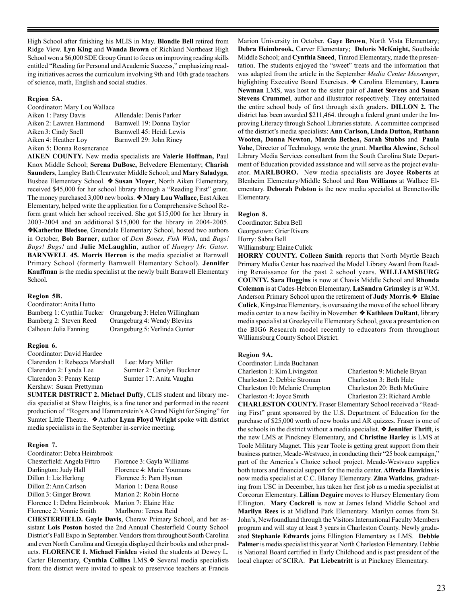High School after finishing his MLIS in May. **Blondie Bell** retired from Ridge View. **Lyn King** and **Wanda Brown** of Richland Northeast High School won a \$6,000 SDE Group Grant to focus on improving reading skills entitled "Reading for Personal and Academic Success," emphasizing reading initiatives across the curriculum involving 9th and 10th grade teachers of science, math, English and social studies.

#### **Region 5A.**

Coordinator: Mary Lou Wallace

| Aiken 1: Patsy Davis       | Allendale: Denis Parker   |
|----------------------------|---------------------------|
| Aiken 2: Lawren Hammond    | Barnwell 19: Donna Taylor |
| Aiken 3: Cindy Snell       | Barnwell 45: Heidi Lewis  |
| Aiken 4: Heather Loy       | Barnwell 29: John Riney   |
| Aiken 5: Donna Rosencrance |                           |

**AIKEN COUNTY.** New media specialists are **Valerie Hoffman,** Paul Knox Middle School; **Serena DuBose,** Belvedere Elementary; **Charish Saunders**, Langley Bath Clearwater Middle School; and **Mary Saladyga**, Busbee Elementary School. ❖ **Susan Moyer**, North Aiken Elementary, received \$45,000 for her school library through a "Reading First" grant. The money purchased 3,000 new books. ❖ **Mary Lou Wallace**, East Aiken Elementary, helped write the application for a Comprehensive School Reform grant which her school received. She got \$15,000 for her library in 2003-2004 and an additional \$15,000 for the library in 2004-2005. ❖**Katherine Bledsoe**, Greendale Elementary School, hosted two authors in October, **Bob Barner**, author of *Dem Bones*, *Fish Wish*, and *Bugs! Bugs! Bugs!* and **Julie McLaughlin**, author of *Hungry Mr. Gator*. **BARNWELL 45. Morris Herron** is the media specialist at Barnwell Primary School (formerly Barnwell Elementary School). **Jennifer Kauffman** is the media specialist at the newly built Barnwell Elementary School.

#### **Region 5B.**

Coordinator: Anita Hutto Bamberg 1: Cynthia Tucker Orangeburg 3: Helen Willingham Bamberg 2: Steven Reed Orangeburg 4: Wendy Blevins Calhoun: Julia Fanning Orangeburg 5: Verlinda Gunter

#### **Region 6.**

Coordinator: David Hardee Clarendon 1: Rebecca Marshall Lee: Mary Miller Clarendon 2: Lynda Lee Sumter 2: Carolyn Buckner Clarendon 3: Penny Kemp Sumter 17: Anita Vaughn Kershaw: Susan Prettyman

**SUMTER DISTRICT 2. Michael Duffy**, CLIS student and library media specialist at Shaw Heights, is a fine tenor and performed in the recent production of "Rogers and Hammerstein's A Grand Night for Singing" for Sumter Little Theatre. ❖ Author **Lynn Floyd Wright** spoke with district media specialists in the September in-service meeting.

#### **Region 7.**

| Coordinator: Debra Heimbrook |                            |  |  |  |
|------------------------------|----------------------------|--|--|--|
| Chesterfield: Angela Fittro  | Florence 3: Gayla Williams |  |  |  |
| Darlington: Judy Hall        | Florence 4: Marie Youmans  |  |  |  |
| Dillon 1: Liz Herlong        | Florence 5: Pam Hyman      |  |  |  |
| Dillon 2: Ann Carlson        | Marion 1: Dena Rouse       |  |  |  |
| Dillon 3: Ginger Brown       | Marion 2: Robin Horne      |  |  |  |
| Florence 1: Debra Heimbrook  | Marion 7: Elaine Hite      |  |  |  |
| Florence 2: Vonnie Smith     | Marlboro: Teresa Reid      |  |  |  |

**CHESTERFIELD. Gayle Davis**, Cheraw Primary School, and her assistant **Lois Poston** hosted the 2nd Annual Chesterfield County School District's Fall Expo in September. Vendors from throughout South Carolina and even North Carolina and Georgia displayed their books and other products. **FLORENCE 1. Michael Finklea** visited the students at Dewey L. Carter Elementary, **Cynthia Collins** LMS.❖ Several media specialists from the district were invited to speak to preservice teachers at Francis Marion University in October. **Gaye Brown**, North Vista Elementary; **Debra Heimbrook,** Carver Elementary; **Deloris McKnight,** Southside Middle School; and **Cynthia Sneed**, Timrod Elementary, made the presentation. The students enjoyed the "sweet" treats and the information that was adapted from the article in the September *Media Center Messenger*, higlighting Executive Board Exercises. ❖ Carolina Elementary, **Laura Newman** LMS, was host to the sister pair of **Janet Stevens** and **Susan Stevens Crummel**, author and illustrator respectively. They entertained the entire school body of first through sixth graders. **DILLON 2.** The district has been awarded \$211,464. through a federal grant under the Improving Literacy through School Libraries statute. A committee comprised of the district's media specialists: **Ann Carlson, Linda Dutton, Ruthann Wooten, Donna Newton, Marcia Bethea, Sarah Stubbs** and **Paula Yohe**, Director of Technology, wrote the grant. **Martha Alewine**, School Library Media Services consultant from the South Carolina State Department of Education provided assistance and will serve as the project evaluator. **MARLBORO.** New media specialists are **Joyce Roberts** at Blenheim Elementary/Middle School and **Ron Williams** at Wallace Elementary. **Deborah Polston** is the new media specialist at Bennettsville Elementary.

#### **Region 8.**

Coordinator: Sabra Bell Georgetown: Grier Rivers Horry: Sabra Bell Williamsburg: Elaine Culick

**HORRY COUNTY. Colleen Smith** reports that North Myrtle Beach Primary Media Center has received the Model Library Award from Reading Renaissance for the past 2 school years. **WILLIAMSBURG COUNTY. Sara Huggins** is now at Chavis Middle School and **Rhonda Coleman** is at Cades-Hebron Elementary. **LaSandra Grimsley** is at W.M. Anderson Primary School upon the retirement of **Judy Morris**.❖ **Elaine Culick**, Kingstree Elementary, is overseeing the move of the school library media center to a new facility in November. ❖ **Kathleen DuRant**, library media specialist at Greeleyville Elementary School, gave a presentation on the BIG6 Research model recently to educators from throughout Williamsburg County School District.

#### **Region 9A.**

| Coordinator: Linda Buchanan     |  |
|---------------------------------|--|
| Charleston 1: Kim Livingston    |  |
| Charleston 2: Debbie Stroman    |  |
| Charleston 10: Melanie Crumpton |  |
| Charleston 4: Joyce Smith       |  |
|                                 |  |

Charleston 9: Michele Bryan Charleston 3: Beth Hale Charleston 20: Beth McGuire Charleston 23: Richard Amble

**CHARLESTON COUNTY.** Fraser Elementary School received a "Reading First" grant sponsored by the U.S. Department of Education for the purchase of \$25,000 worth of new books and AR quizzes. Fraser is one of the schools in the district without a media specialist. ❖ **Jennifer Thrift**, is the new LMS at Pinckney Elementary, and **Christine Harley** is LMS at Toole Military Magnet. This year Toole is getting great support from their business partner, Meade-Westvaco, in conducting their "25 book campaign," part of the America's Choice school project. Meade-Westvaco supplies both tutors and financial support for the media center. **Alfreda Hawkins** is now media specialist at C.C. Blaney Elementary. **Zina Watkins**, graduating from USC in December, has taken her first job as a media specialist at Corcoran Elementary. **Lillian Deguire** moves to Hursey Elementary from Ellington. **Mary Cockrell** is now at James Island Middle School and **Marilyn Rees** is at Midland Park Elementary. Marilyn comes from St. John's, Newfoundland through the Visitors International Faculty Members program and will stay at least 3 years in Charleston County. Newly graduated **Stephanie Edwards** joins Ellington Elementary as LMS. **Debbie Palmer** is media specialist this year at North Charleston Elementary. Debbie is National Board certified in Early Childhood and is past president of the local chapter of SCIRA. **Pat Liebentritt** is at Pinckney Elementary.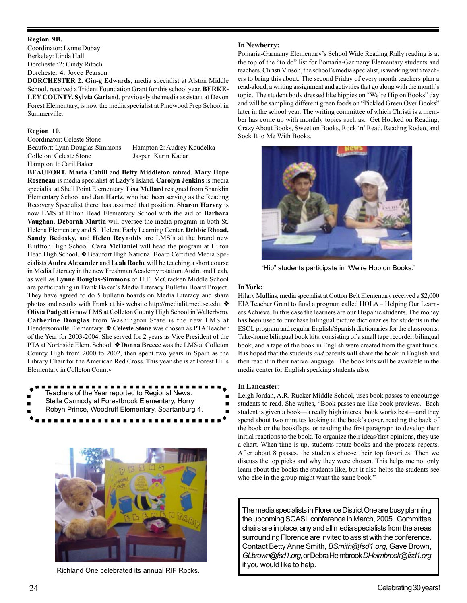#### **Region 9B.**

Coordinator: Lynne Dubay Berkeley: Linda Hall Dorchester 2: Cindy Ritoch Dorchester 4: Joyce Pearson

**DORCHESTER 2. Gin-g Edwards**, media specialist at Alston Middle School, received a Trident Foundation Grant for this school year. **BERKE-LEY COUNTY. Sylvia Garland**, previously the media assistant at Devon Forest Elementary, is now the media specialist at Pinewood Prep School in Summerville.

#### **Region 10.**

Coordinator: Celeste Stone

Hampton 1: Caril Baker

Beaufort: Lynn Douglas Simmons Hampton 2: Audrey Koudelka Colleton: Celeste Stone Jasper: Karin Kadar

**BEAUFORT. Maria Cahill** and **Betty Middleton** retired. **Mary Hope Roseneau** is media specialist at Lady's Island. **Carolyn Jenkins** is media specialist at Shell Point Elementary. **Lisa Mellard** resigned from Shanklin Elementary School and **Jan Hartz**, who had been serving as the Reading Recovery Specialist there, has assumed that position. **Sharon Harvey** is now LMS at Hilton Head Elementary School with the aid of **Barbara Vaughan**. **Deborah Martin** will oversee the media program in both St. Helena Elementary and St. Helena Early Learning Center. **Debbie Rhoad, Sandy Bedosky,** and **Helen Reynolds** are LMS's at the brand new Bluffton High School. **Cara McDaniel** will head the program at Hilton Head High School. ❖ Beaufort High National Board Certified Media Specialists **Audra Alexander** and **Leah Roche** will be teaching a short course in Media Literacy in the new Freshman Academy rotation. Audra and Leah, as well as **Lynne Douglas-Simmons** of H.E. McCracken Middle School are participating in Frank Baker's Media Literacy Bulletin Board Project. They have agreed to do 5 bulletin boards on Media Literacy and share photos and results with Frank at his website http://medialit.med.sc.edu. ❖ **Olivia Padgett** is now LMS at Colleton County High School in Walterboro. **Catherine Douglas** from Washington State is the new LMS at Hendersonville Elementary. ❖ **Celeste Stone** was chosen as PTA Teacher of the Year for 2003-2004. She served for 2 years as Vice President of the PTA at Northside Elem. School. ❖ **Donna Breece** was the LMS at Colleton County High from 2000 to 2002, then spent two years in Spain as the Library Chair for the American Red Cross. This year she is at Forest Hills Elementary in Colleton County.

................. Teachers of the Year reported to Regional News: Stella Carmody at Forestbrook Elementary, Horry Robyn Prince, Woodruff Elementary, Spartanburg 4.



Richland One celebrated its annual RIF Rocks.

### **In Newberry:**

Pomaria-Garmany Elementary's School Wide Reading Rally reading is at the top of the "to do" list for Pomaria-Garmany Elementary students and teachers. Christi Vinson, the school's media specialist, is working with teachers to bring this about. The second Friday of every month teachers plan a read-aloud, a writing assignment and activities that go along with the month's topic. The student body dressed like hippies on "We're Hip on Books" day and will be sampling different green foods on "Pickled Green Over Books" later in the school year. The writing committee of which Christi is a member has come up with monthly topics such as: Get Hooked on Reading, Crazy About Books, Sweet on Books, Rock 'n' Read, Reading Rodeo, and Sock It to Me With Books.



"Hip" students participate in "We're Hop on Books."

### **In York:**

Hilary Mullins, media specialist at Cotton Belt Elementary received a \$2,000 EIA Teacher Grant to fund a program called HOLA – Helping Our Learners Achieve. In this case the learners are our Hispanic students. The money has been used to purchase bilingual picture dictionaries for students in the ESOL program and regular English/Spanish dictionaries for the classrooms. Take-home bilingual book kits, consisting of a small tape recorder, bilingual book, and a tape of the book in English were created from the grant funds. It is hoped that the students *and* parents will share the book in English and then read it in their native language. The book kits will be available in the media center for English speaking students also.

#### **In Lancaster:**

Leigh Jordan, A.R. Rucker Middle School, uses book passes to encourage students to read. She writes, "Book passes are like book previews. Each student is given a book—a really high interest book works best—and they spend about two minutes looking at the book's cover, reading the back of the book or the bookflaps, or reading the first paragraph to develop their initial reactions to the book. To organize their ideas/first opinions, they use a chart. When time is up, students rotate books and the process repeats. After about 8 passes, the students choose their top favorites. Then we discuss the top picks and why they were chosen. This helps me not only learn about the books the students like, but it also helps the students see who else in the group might want the same book."

The media specialists in Florence District One are busy planning the upcoming SCASL conference in March, 2005. Committee chairs are in place; any and all media specialists from the areas surrounding Florence are invited to assist with the conference. Contact Betty Anne Smith, *BSmith@fsd1.org*, Gaye Brown, *GLbrown@fsd1.org*, or Debra Heimbrook *DHeimbrook@fsd1.org* if you would like to help.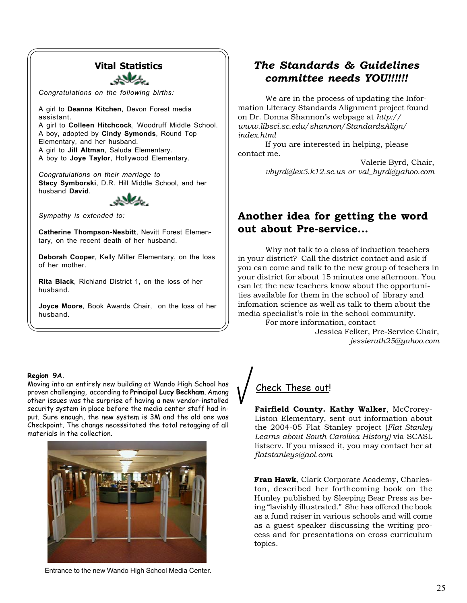### **Vital Statistics**

anks.

*Congratulations on the following births:*

A girl to **Deanna Kitchen**, Devon Forest media assistant. A girl to **Colleen Hitchcock**, Woodruff Middle School. A boy, adopted by **Cindy Symonds**, Round Top Elementary, and her husband. A girl to **Jill Altman**, Saluda Elementary. A boy to **Joye Taylor**, Hollywood Elementary.

*Congratulations on their marriage to* **Stacy Symborski**, D.R. Hill Middle School, and her husband **David**.



*Sympathy is extended to:*

**Catherine Thompson-Nesbitt**, Nevitt Forest Elementary, on the recent death of her husband.

**Deborah Cooper**, Kelly Miller Elementary, on the loss of her mother.

**Rita Black**, Richland District 1, on the loss of her husband.

**Joyce Moore**, Book Awards Chair, on the loss of her husband.

### **Region 9A.**

Moving into an entirely new building at Wando High School has proven challenging, according to **Principal Lucy Beckham**. Among other issues was the surprise of having a new vendor-installed security system in place before the media center staff had input. Sure enough, the new system is 3M and the old one was Checkpoint. The change necessitated the total retagging of all materials in the collection.



### Entrance to the new Wando High School Media Center.

## *The Standards & Guidelines committee needs YOU!!!!!!*

We are in the process of updating the Information Literacy Standards Alignment project found on Dr. Donna Shannon's webpage at *http:// www.libsci.sc.edu/shannon/StandardsAlign/ index.html*

If you are interested in helping, please contact me.

> Valerie Byrd, Chair, *vbyrd@lex5.k12.sc.us or val\_byrd@yahoo.com*

## **Another idea for getting the word out about Pre-service...**

Why not talk to a class of induction teachers in your district? Call the district contact and ask if you can come and talk to the new group of teachers in your district for about 15 minutes one afternoon. You can let the new teachers know about the opportunities available for them in the school of library and infomation science as well as talk to them about the media specialist's role in the school community.

> For more information, contact Jessica Felker, Pre-Service Chair, *jessieruth25@yahoo.com*

## Check These out!

**Fairfield County. Kathy Walker**, McCrorey-Liston Elementary, sent out information about the 2004-05 Flat Stanley project (*Flat Stanley Learns about South Carolina History)* via SCASL listserv. If you missed it, you may contact her at *flatstanleys@aol.com*

**Fran Hawk**, Clark Corporate Academy, Charleston, described her forthcoming book on the Hunley published by Sleeping Bear Press as being "lavishly illustrated." She has offered the book as a fund raiser in various schools and will come as a guest speaker discussing the writing process and for presentations on cross curriculum topics.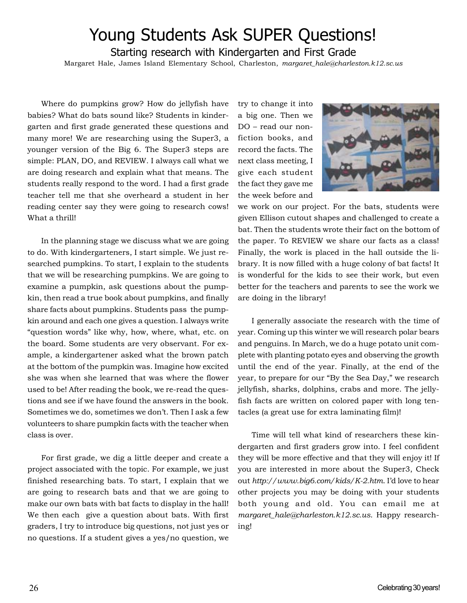# Young Students Ask SUPER Questions!

Starting research with Kindergarten and First Grade

Margaret Hale, James Island Elementary School, Charleston, *margaret\_hale@charleston.k12.sc.us*

Where do pumpkins grow? How do jellyfish have babies? What do bats sound like? Students in kindergarten and first grade generated these questions and many more! We are researching using the Super3, a younger version of the Big 6. The Super3 steps are simple: PLAN, DO, and REVIEW. I always call what we are doing research and explain what that means. The students really respond to the word. I had a first grade teacher tell me that she overheard a student in her reading center say they were going to research cows! What a thrill!

In the planning stage we discuss what we are going to do. With kindergarteners, I start simple. We just researched pumpkins. To start, I explain to the students that we will be researching pumpkins. We are going to examine a pumpkin, ask questions about the pumpkin, then read a true book about pumpkins, and finally share facts about pumpkins. Students pass the pumpkin around and each one gives a question. I always write "question words" like why, how, where, what, etc. on the board. Some students are very observant. For example, a kindergartener asked what the brown patch at the bottom of the pumpkin was. Imagine how excited she was when she learned that was where the flower used to be! After reading the book, we re-read the questions and see if we have found the answers in the book. Sometimes we do, sometimes we don't. Then I ask a few volunteers to share pumpkin facts with the teacher when class is over.

For first grade, we dig a little deeper and create a project associated with the topic. For example, we just finished researching bats. To start, I explain that we are going to research bats and that we are going to make our own bats with bat facts to display in the hall! We then each give a question about bats. With first graders, I try to introduce big questions, not just yes or no questions. If a student gives a yes/no question, we try to change it into a big one. Then we DO – read our nonfiction books, and record the facts. The next class meeting, I give each student the fact they gave me the week before and



we work on our project. For the bats, students were given Ellison cutout shapes and challenged to create a bat. Then the students wrote their fact on the bottom of the paper. To REVIEW we share our facts as a class! Finally, the work is placed in the hall outside the library. It is now filled with a huge colony of bat facts! It is wonderful for the kids to see their work, but even better for the teachers and parents to see the work we are doing in the library!

I generally associate the research with the time of year. Coming up this winter we will research polar bears and penguins. In March, we do a huge potato unit complete with planting potato eyes and observing the growth until the end of the year. Finally, at the end of the year, to prepare for our "By the Sea Day," we research jellyfish, sharks, dolphins, crabs and more. The jellyfish facts are written on colored paper with long tentacles (a great use for extra laminating film)!

Time will tell what kind of researchers these kindergarten and first graders grow into. I feel confident they will be more effective and that they will enjoy it! If you are interested in more about the Super3, Check out *http://www.big6.com/kids/K-2.htm*. I'd love to hear other projects you may be doing with your students both young and old. You can email me at *margaret\_hale@charleston.k12.sc.us*. Happy researching!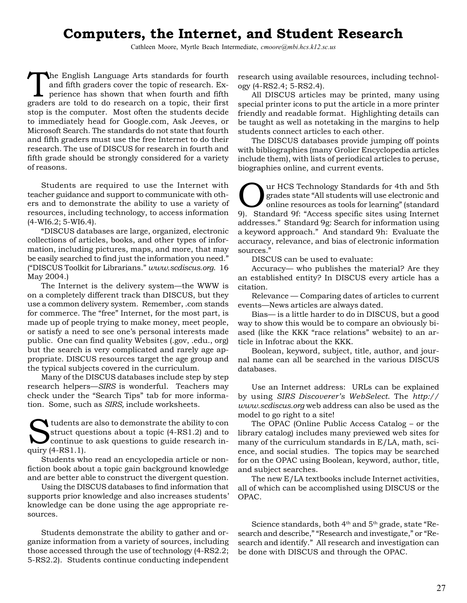# **Computers, the Internet, and Student Research**

Cathleen Moore, Myrtle Beach Intermediate, *cmoore@mbi.hcs.k12.sc.us*

The English Language Arts standards for fourth and fifth graders cover the topic of research. Experience has shown that when fourth and fifth graders are told to do research on a topic, their first stop is the computer. Most often the students decide to immediately head for Google.com, Ask Jeeves, or Microsoft Search. The standards do not state that fourth and fifth graders must use the free Internet to do their research. The use of DISCUS for research in fourth and fifth grade should be strongly considered for a variety of reasons.

Students are required to use the Internet with teacher guidance and support to communicate with others and to demonstrate the ability to use a variety of resources, including technology, to access information (4-WI6.2; 5-WI6.4).

"DISCUS databases are large, organized, electronic collections of articles, books, and other types of information, including pictures, maps, and more, that may be easily searched to find just the information you need." ("DISCUS Toolkit for Librarians." *www.scdiscus.org*. 16 May 2004.)

The Internet is the delivery system—the WWW is on a completely different track than DISCUS, but they use a common delivery system. Remember, .com stands for commerce. The "free" Internet, for the most part, is made up of people trying to make money, meet people, or satisfy a need to see one's personal interests made public. One can find quality Websites (.gov, .edu., org) but the search is very complicated and rarely age appropriate. DISCUS resources target the age group and the typical subjects covered in the curriculum.

Many of the DISCUS databases include step by step research helpers—*SIRS* is wonderful. Teachers may check under the "Search Tips" tab for more information. Some, such as *SIRS,* include worksheets.

Students are also to demonstrate the ability to continue to ask questions to guide research in-<br>continue to ask questions to guide research instruct questions about a topic (4-RS1.2) and to quiry (4-RS1.1).

Students who read an encyclopedia article or nonfiction book about a topic gain background knowledge and are better able to construct the divergent question.

Using the DISCUS databases to find information that supports prior knowledge and also increases students' knowledge can be done using the age appropriate resources.

Students demonstrate the ability to gather and organize information from a variety of sources, including those accessed through the use of technology (4-RS2.2; 5-RS2.2). Students continue conducting independent

research using available resources, including technology (4-RS2.4; 5-RS2.4).

All DISCUS articles may be printed, many using special printer icons to put the article in a more printer friendly and readable format. Highlighting details can be taught as well as notetaking in the margins to help students connect articles to each other.

The DISCUS databases provide jumping off points with bibliographies (many Grolier Encyclopedia articles include them), with lists of periodical articles to peruse, biographies online, and current events.

UR HCS Technology Standards for 4th and 5th<br>grades state "All students will use electronic and<br>online resources as tools for learning" (standard<br>0) Standard Of: "Access specific sites using Internet grades state "All students will use electronic and online resources as tools for learning" (standard 9). Standard 9f: "Access specific sites using Internet addresses." Standard 9g: Search for information using a keyword approach." And standard 9h: Evaluate the accuracy, relevance, and bias of electronic information sources."

DISCUS can be used to evaluate:

Accuracy— who publishes the material? Are they an established entity? In DISCUS every article has a citation.

Relevance — Comparing dates of articles to current events—News articles are always dated.

Bias— is a little harder to do in DISCUS, but a good way to show this would be to compare an obviously biased (like the KKK "race relations" website) to an article in Infotrac about the KKK.

Boolean, keyword, subject, title, author, and journal name can all be searched in the various DISCUS databases.

Use an Internet address: URLs can be explained by using *SIRS Discoverer's WebSelect*. The *http:// www.scdiscus.org* web address can also be used as the model to go right to a site!

The OPAC (Online Public Access Catalog – or the library catalog) includes many previewed web sites for many of the curriculum standards in E/LA, math, science, and social studies. The topics may be searched for on the OPAC using Boolean, keyword, author, title, and subject searches.

The new E/LA textbooks include Internet activities, all of which can be accomplished using DISCUS or the OPAC.

Science standards, both  $4<sup>th</sup>$  and  $5<sup>th</sup>$  grade, state "Research and describe," "Research and investigate," or "Research and identify." All research and investigation can be done with DISCUS and through the OPAC.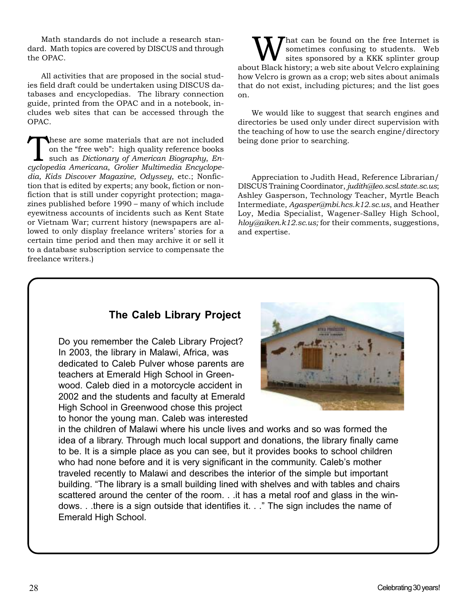Math standards do not include a research standard. Math topics are covered by DISCUS and through the OPAC.

All activities that are proposed in the social studies field draft could be undertaken using DISCUS databases and encyclopedias. The library connection guide, printed from the OPAC and in a notebook, includes web sites that can be accessed through the OPAC.

These are some materials that are not included<br>
on the "free web": high quality reference books<br>
such as *Dictionary of American Biography*, *En-*<br>
such as *Dictionary of American Biography*, *En*on the "free web": high quality reference books *cyclopedia Americana*, *Grolier Multimedia Encyclopedia, Kids Discover Magazine, Odyssey*, etc.; Nonfiction that is edited by experts; any book, fiction or nonfiction that is still under copyright protection; magazines published before 1990 – many of which include eyewitness accounts of incidents such as Kent State or Vietnam War; current history (newspapers are allowed to only display freelance writers' stories for a certain time period and then may archive it or sell it to a database subscription service to compensate the freelance writers.)

What can be found on the free Internet is<br>
sites sponsored by a KKK splinter group<br>
sites sponsored by a KKK splinter group<br>
site shout Velcro explaining sometimes confusing to students. Web about Black history; a web site about Velcro explaining how Velcro is grown as a crop; web sites about animals that do not exist, including pictures; and the list goes on.

We would like to suggest that search engines and directories be used only under direct supervision with the teaching of how to use the search engine/directory being done prior to searching.

Appreciation to Judith Head, Reference Librarian/ DISCUS Training Coordinator, *judith@leo.scsl.state.sc.us*; Ashley Gasperson, Technology Teacher, Myrtle Beach Intermediate, *Agasper@mbi.hcs.k12.sc.us*, and Heather Loy, Media Specialist, Wagener-Salley High School, *hloy@aiken.k12.sc.us;* for their comments, suggestions, and expertise.

## **The Caleb Library Project**

Do you remember the Caleb Library Project? In 2003, the library in Malawi, Africa, was dedicated to Caleb Pulver whose parents are teachers at Emerald High School in Greenwood. Caleb died in a motorcycle accident in 2002 and the students and faculty at Emerald High School in Greenwood chose this project to honor the young man. Caleb was interested



in the children of Malawi where his uncle lives and works and so was formed the idea of a library. Through much local support and donations, the library finally came to be. It is a simple place as you can see, but it provides books to school children who had none before and it is very significant in the community. Caleb's mother traveled recently to Malawi and describes the interior of the simple but important building. "The library is a small building lined with shelves and with tables and chairs scattered around the center of the room. . .it has a metal roof and glass in the windows. . .there is a sign outside that identifies it. . ." The sign includes the name of Emerald High School.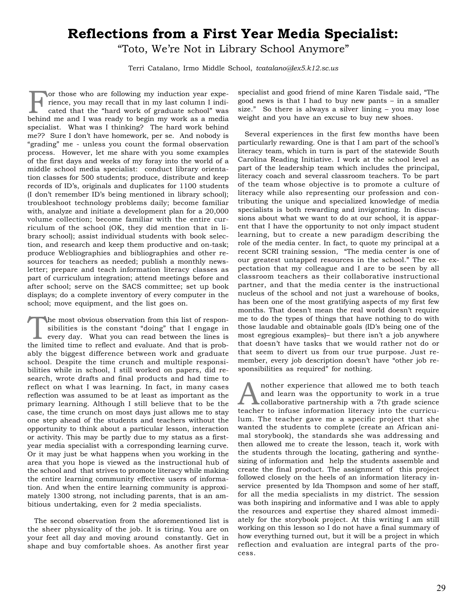# **Reflections from a First Year Media Specialist:**

"Toto, We're Not in Library School Anymore"

Terri Catalano, Irmo Middle School, *tcatalano@lex5.k12.sc.us*

for those who are following my induction year experience, you may recall that in my last column I indicated that the "hard work of graduate school" was behind me and I was ready to begin my work as a media specialist. What was I thinking? The hard work behind me?? Sure I don't have homework, per se. And nobody is "grading" me - unless you count the formal observation process. However, let me share with you some examples of the first days and weeks of my foray into the world of a middle school media specialist: conduct library orientation classes for 500 students; produce, distribute and keep records of ID's, originals and duplicates for 1100 students (I don't remember ID's being mentioned in library school); troubleshoot technology problems daily; become familiar with, analyze and initiate a development plan for a 20,000 volume collection; become familiar with the entire curriculum of the school (OK, they did mention that in library school); assist individual students with book selection, and research and keep them productive and on-task; produce Webliographies and bibliographies and other resources for teachers as needed; publish a monthly newsletter; prepare and teach information literacy classes as part of curriculum integration; attend meetings before and after school; serve on the SACS committee; set up book displays; do a complete inventory of every computer in the school; move equipment, and the list goes on.

The most obvious observation from this list of responsibilities is the constant "doing" that I engage in every day. What you can read between the lines is the limited time to reflect and evoluate. And that is probsibilities is the constant "doing" that I engage in every day. What you can read between the lines is the limited time to reflect and evaluate. And that is probably the biggest difference between work and graduate school. Despite the time crunch and multiple responsibilities while in school, I still worked on papers, did research, wrote drafts and final products and had time to reflect on what I was learning. In fact, in many cases reflection was assumed to be at least as important as the primary learning. Although I still believe that to be the case, the time crunch on most days just allows me to stay one step ahead of the students and teachers without the opportunity to think about a particular lesson, interaction or activity. This may be partly due to my status as a firstyear media specialist with a corresponding learning curve. Or it may just be what happens when you working in the area that you hope is viewed as the instructional hub of the school and that strives to promote literacy while making the entire learning community effective users of information. And when the entire learning community is approximately 1300 strong, not including parents, that is an ambitious undertaking, even for 2 media specialists.

The second observation from the aforementioned list is the sheer physicality of the job. It is tiring. You are on your feet all day and moving around constantly. Get in shape and buy comfortable shoes. As another first year specialist and good friend of mine Karen Tisdale said, "The good news is that I had to buy new pants – in a smaller size." So there is always a silver lining – you may lose weight and you have an excuse to buy new shoes.

Several experiences in the first few months have been particularly rewarding. One is that I am part of the school's literacy team, which in turn is part of the statewide South Carolina Reading Initiative. I work at the school level as part of the leadership team which includes the principal, literacy coach and several classroom teachers. To be part of the team whose objective is to promote a culture of literacy while also representing our profession and contributing the unique and specialized knowledge of media specialists is both rewarding and invigorating. In discussions about what we want to do at our school, it is apparent that I have the opportunity to not only impact student learning, but to create a new paradigm describing the role of the media center. In fact, to quote my principal at a recent SCRI training session, "The media center is one of our greatest untapped resources in the school." The expectation that my colleague and I are to be seen by all classroom teachers as their collaborative instructional partner, and that the media center is the instructional nucleus of the school and not just a warehouse of books, has been one of the most gratifying aspects of my first few months. That doesn't mean the real world doesn't require me to do the types of things that have nothing to do with those laudable and obtainable goals (ID's being one of the most egregious examples)– but there isn't a job anywhere that doesn't have tasks that we would rather not do or that seem to divert us from our true purpose. Just remember, every job description doesn't have "other job responsibilities as required" for nothing.

and learn was the opportunity to work in a true<br>collaborative partnership with a 7th grade science<br>teacher to infuse information literacy into the curricu and learn was the opportunity to work in a true teacher to infuse information literacy into the curriculum. The teacher gave me a specific project that she wanted the students to complete (create an African animal storybook), the standards she was addressing and then allowed me to create the lesson, teach it, work with the students through the locating, gathering and synthesizing of information and help the students assemble and create the final product. The assignment of this project followed closely on the heels of an information literacy inservice presented by Ida Thompson and some of her staff, for all the media specialists in my district. The session was both inspiring and informative and I was able to apply the resources and expertise they shared almost immediately for the storybook project. At this writing I am still working on this lesson so I do not have a final summary of how everything turned out, but it will be a project in which reflection and evaluation are integral parts of the process.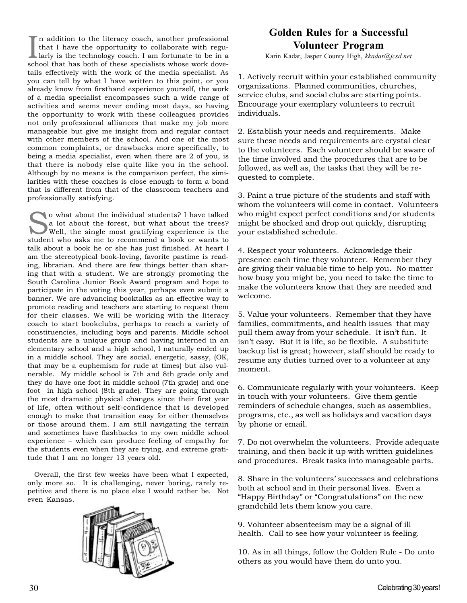In addition to the literacy coach, another professional that I have the opportunity to collaborate with regularly is the technology coach. I am fortunate to be in a school that has both of these specialists whose work dove n addition to the literacy coach, another professional that I have the opportunity to collaborate with regularly is the technology coach. I am fortunate to be in a tails effectively with the work of the media specialist. As you can tell by what I have written to this point, or you already know from firsthand experience yourself, the work of a media specialist encompasses such a wide range of activities and seems never ending most days, so having the opportunity to work with these colleagues provides not only professional alliances that make my job more manageable but give me insight from and regular contact with other members of the school. And one of the most common complaints, or drawbacks more specifically, to being a media specialist, even when there are 2 of you, is that there is nobody else quite like you in the school. Although by no means is the comparison perfect, the similarities with these coaches is close enough to form a bond that is different from that of the classroom teachers and professionally satisfying.

so what about the individual students? I have talked<br>a lot about the forest, but what about the trees?<br>Well, the single most gratifying experience is the<br>student who seke me to recommend a heek or wents to a lot about the forest, but what about the trees? student who asks me to recommend a book or wants to talk about a book he or she has just finished. At heart I am the stereotypical book-loving, favorite pastime is reading, librarian. And there are few things better than sharing that with a student. We are strongly promoting the South Carolina Junior Book Award program and hope to participate in the voting this year, perhaps even submit a banner. We are advancing booktalks as an effective way to promote reading and teachers are starting to request them for their classes. We will be working with the literacy coach to start bookclubs, perhaps to reach a variety of constituencies, including boys and parents. Middle school students are a unique group and having interned in an elementary school and a high school, I naturally ended up in a middle school. They are social, energetic, sassy, (OK, that may be a euphemism for rude at times) but also vulnerable. My middle school is 7th and 8th grade only and they do have one foot in middle school (7th grade) and one foot in high school (8th grade). They are going through the most dramatic physical changes since their first year of life, often without self-confidence that is developed enough to make that transition easy for either themselves or those around them. I am still navigating the terrain and sometimes have flashbacks to my own middle school experience – which can produce feeling of empathy for the students even when they are trying, and extreme gratitude that I am no longer 13 years old.

Overall, the first few weeks have been what I expected, only more so. It is challenging, never boring, rarely repetitive and there is no place else I would rather be. Not even Kansas.



## **Golden Rules for a Successful Volunteer Program**

Karin Kadar, Jasper County High, *kkadar@jcsd.net*

1. Actively recruit within your established community organizations. Planned communities, churches, service clubs, and social clubs are starting points. Encourage your exemplary volunteers to recruit individuals.

2. Establish your needs and requirements. Make sure these needs and requirements are crystal clear to the volunteers. Each volunteer should be aware of the time involved and the procedures that are to be followed, as well as, the tasks that they will be requested to complete.

3. Paint a true picture of the students and staff with whom the volunteers will come in contact. Volunteers who might expect perfect conditions and/or students might be shocked and drop out quickly, disrupting your established schedule.

4. Respect your volunteers. Acknowledge their presence each time they volunteer. Remember they are giving their valuable time to help you. No matter how busy you might be, you need to take the time to make the volunteers know that they are needed and welcome.

5. Value your volunteers. Remember that they have families, commitments, and health issues that may pull them away from your schedule. It isn't fun. It isn't easy. But it is life, so be flexible. A substitute backup list is great; however, staff should be ready to resume any duties turned over to a volunteer at any moment.

6. Communicate regularly with your volunteers. Keep in touch with your volunteers. Give them gentle reminders of schedule changes, such as assemblies, programs, etc., as well as holidays and vacation days by phone or email.

7. Do not overwhelm the volunteers. Provide adequate training, and then back it up with written guidelines and procedures. Break tasks into manageable parts.

8. Share in the volunteers' successes and celebrations both at school and in their personal lives. Even a "Happy Birthday" or "Congratulations" on the new grandchild lets them know you care.

9. Volunteer absenteeism may be a signal of ill health. Call to see how your volunteer is feeling.

10. As in all things, follow the Golden Rule - Do unto others as you would have them do unto you.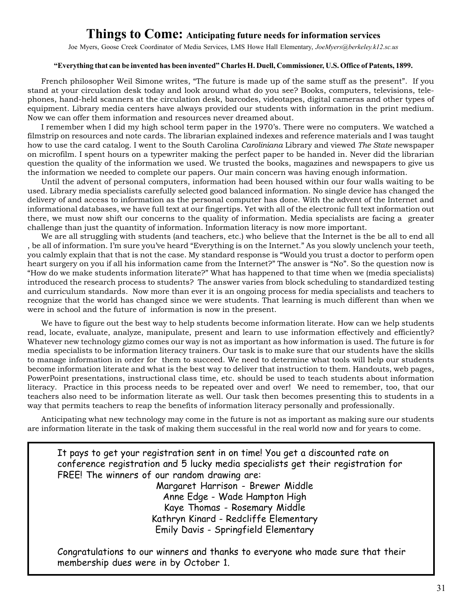## **Things to Come: Anticipating future needs for information services**

Joe Myers, Goose Creek Coordinator of Media Services, LMS Howe Hall Elementary, *JoeMyers@berkeley.k12.sc.us*

### **"Everything that can be invented has been invented" Charles H. Duell, Commissioner, U.S. Office of Patents, 1899.**

French philosopher Weil Simone writes, "The future is made up of the same stuff as the present". If you stand at your circulation desk today and look around what do you see? Books, computers, televisions, telephones, hand-held scanners at the circulation desk, barcodes, videotapes, digital cameras and other types of equipment. Library media centers have always provided our students with information in the print medium. Now we can offer them information and resources never dreamed about.

I remember when I did my high school term paper in the 1970's. There were no computers. We watched a filmstrip on resources and note cards. The librarian explained indexes and reference materials and I was taught how to use the card catalog. I went to the South Carolina *Caroliniana* Library and viewed *The State* newspaper on microfilm. I spent hours on a typewriter making the perfect paper to be handed in. Never did the librarian question the quality of the information we used. We trusted the books, magazines and newspapers to give us the information we needed to complete our papers. Our main concern was having enough information.

Until the advent of personal computers, information had been housed within our four walls waiting to be used. Library media specialists carefully selected good balanced information. No single device has changed the delivery of and access to information as the personal computer has done. With the advent of the Internet and informational databases, we have full text at our fingertips. Yet with all of the electronic full text information out there, we must now shift our concerns to the quality of information. Media specialists are facing a greater challenge than just the quantity of information. Information literacy is now more important.

We are all struggling with students (and teachers, etc.) who believe that the Internet is the be all to end all , be all of information. I'm sure you've heard "Everything is on the Internet." As you slowly unclench your teeth, you calmly explain that that is not the case. My standard response is "Would you trust a doctor to perform open heart surgery on you if all his information came from the Internet?" The answer is "No". So the question now is "How do we make students information literate?" What has happened to that time when we (media specialists) introduced the research process to students? The answer varies from block scheduling to standardized testing and curriculum standards. Now more than ever it is an ongoing process for media specialists and teachers to recognize that the world has changed since we were students. That learning is much different than when we were in school and the future of information is now in the present.

We have to figure out the best way to help students become information literate. How can we help students read, locate, evaluate, analyze, manipulate, present and learn to use information effectively and efficiently? Whatever new technology gizmo comes our way is not as important as how information is used. The future is for media specialists to be information literacy trainers. Our task is to make sure that our students have the skills to manage information in order for them to succeed. We need to determine what tools will help our students become information literate and what is the best way to deliver that instruction to them. Handouts, web pages, PowerPoint presentations, instructional class time, etc. should be used to teach students about information literacy. Practice in this process needs to be repeated over and over! We need to remember, too, that our teachers also need to be information literate as well. Our task then becomes presenting this to students in a way that permits teachers to reap the benefits of information literacy personally and professionally.

Anticipating what new technology may come in the future is not as important as making sure our students are information literate in the task of making them successful in the real world now and for years to come.

It pays to get your registration sent in on time! You get a discounted rate on conference registration and 5 lucky media specialists get their registration for FREE! The winners of our random drawing are:

Margaret Harrison - Brewer Middle Anne Edge - Wade Hampton High Kaye Thomas - Rosemary Middle Kathryn Kinard - Redcliffe Elementary Emily Davis - Springfield Elementary

Congratulations to our winners and thanks to everyone who made sure that their membership dues were in by October 1.